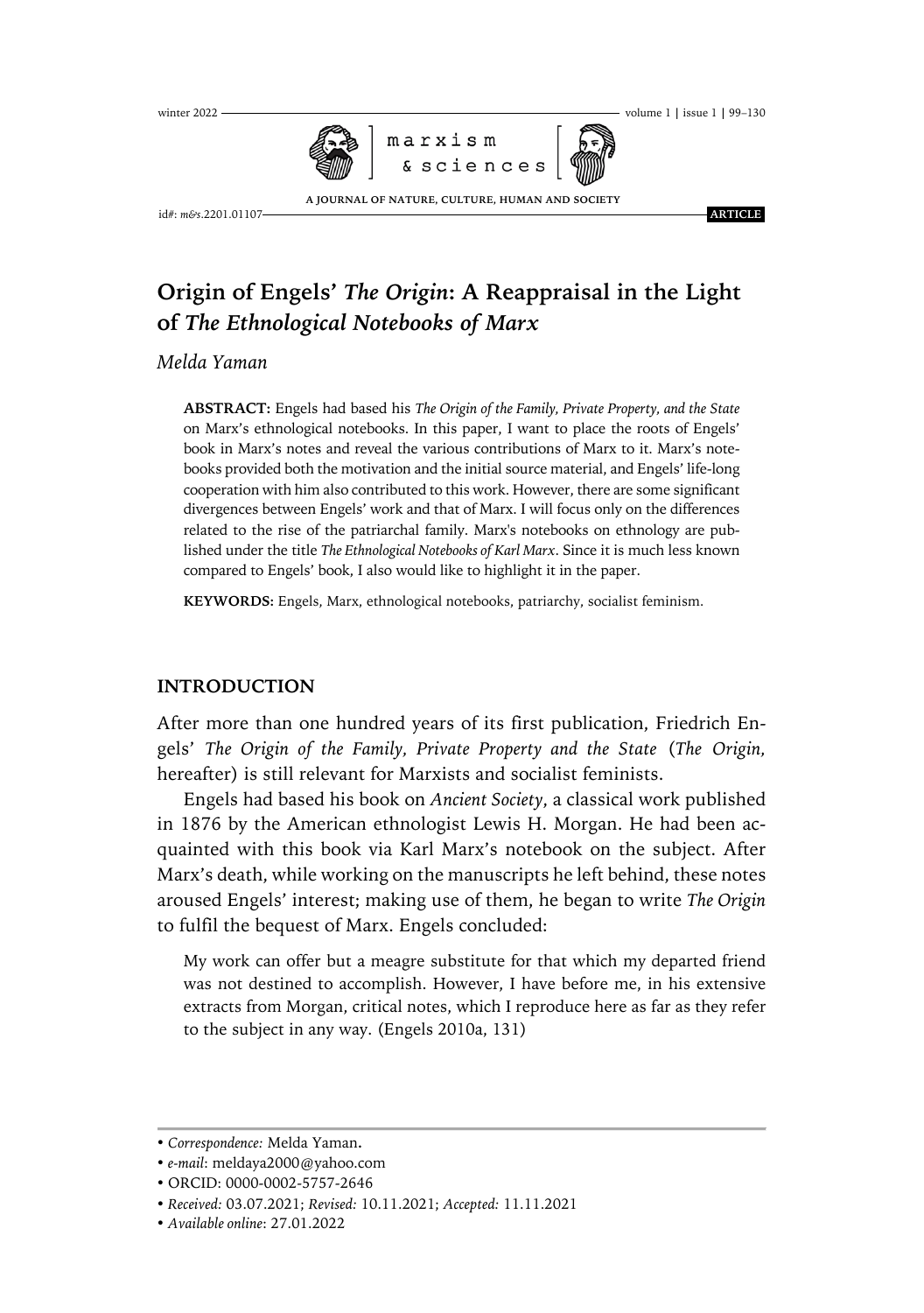

**A JOURNAL OF NATURE, CULTURE, HUMAN AND SOCIETY**

#### winter 2022 . volume 1 **|** issue 1 **|** 99–130

id#: *m&s*.2201.01107 .**ARTICLE.**

# **Origin of Engels'** *The Origin***: A Reappraisal in the Light of** *The Ethnological Notebooks of Marx*

*Melda Yaman*

**ABSTRACT:** Engels had based his *The Origin of the Family, Private Property, and the State* on Marx's ethnological notebooks. In this paper, I want to place the roots of Engels' book in Marx's notes and reveal the various contributions of Marx to it. Marx's notebooks provided both the motivation and the initial source material, and Engels' life-long cooperation with him also contributed to this work. However, there are some significant divergences between Engels' work and that of Marx. I will focus only on the differences related to the rise of the patriarchal family. Marx's notebooks on ethnology are published under the title *The Ethnological Notebooks of Karl Marx*. Since it is much less known compared to Engels' book, I also would like to highlight it in the paper.

**KEYWORDS:** Engels, Marx, ethnological notebooks, patriarchy, socialist feminism.

## **INTRODUCTION**

After more than one hundred years of its first publication, Friedrich Engels' *The Origin of the Family, Private Property and the State* (*The Origin,* hereafter) is still relevant for Marxists and socialist feminists.

Engels had based his book on *Ancient Society*, a classical work published in 1876 by the American ethnologist Lewis H. Morgan. He had been acquainted with this book via Karl Marx's notebook on the subject. After Marx's death, while working on the manuscripts he left behind, these notes aroused Engels' interest; making use of them, he began to write *The Origin* to fulfil the bequest of Marx. Engels concluded:

My work can offer but a meagre substitute for that which my departed friend was not destined to accomplish. However, I have before me, in his extensive extracts from Morgan, critical notes, which I reproduce here as far as they refer to the subject in any way. (Engels 2010a, 131)

<sup>•</sup> *Correspondence:* Melda Yaman**.**

<sup>•</sup> *e-mail*: meldaya2000@yahoo.com

<sup>•</sup> ORCID: 0000-0002-5757-2646

<sup>•</sup> *Received:* 03.07.2021; *Revised:* 10.11.2021; *Accepted:* 11.11.2021

<sup>•</sup> *Available online*: 27.01.2022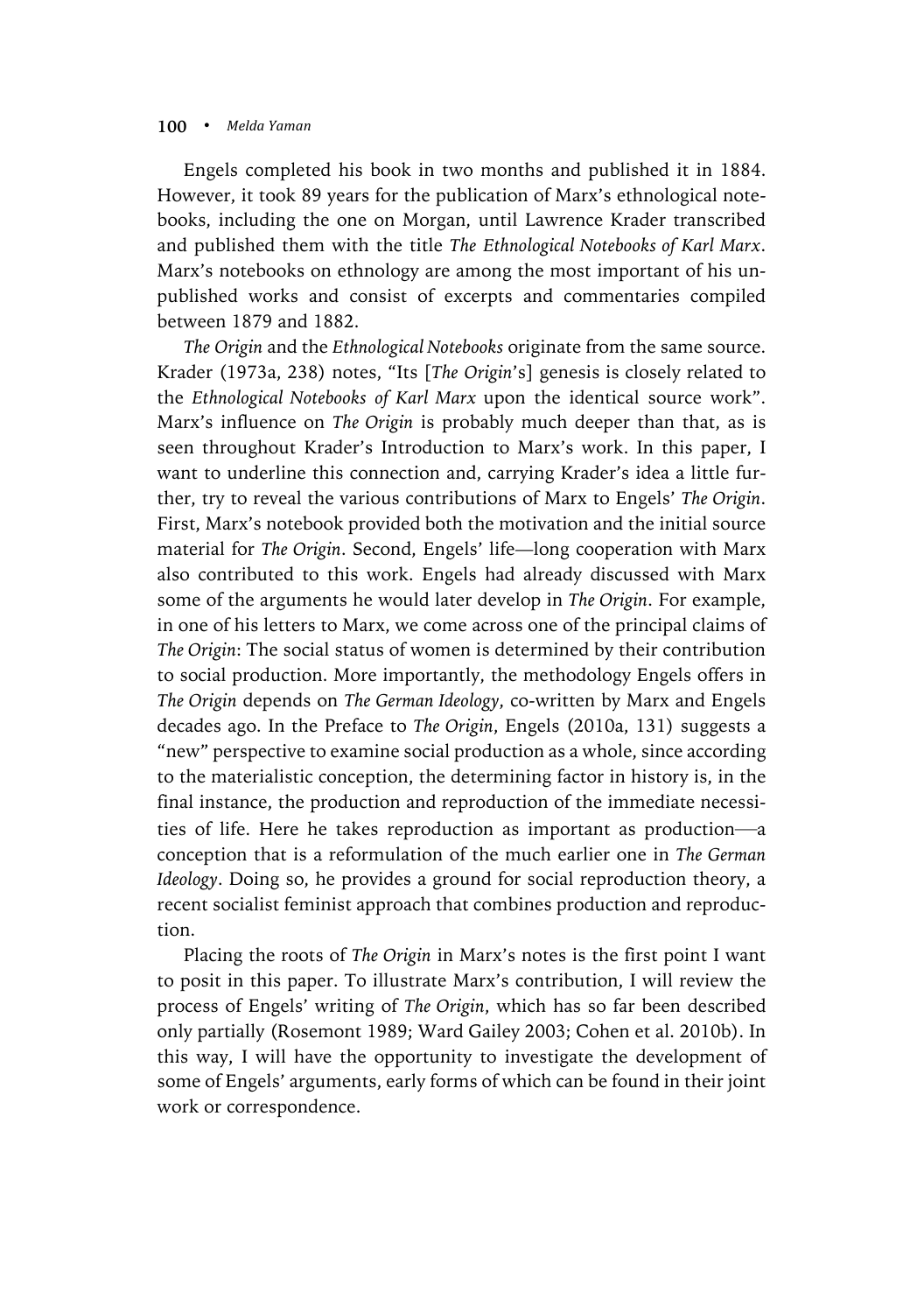Engels completed his book in two months and published it in 1884. However, it took 89 years for the publication of Marx's ethnological notebooks, including the one on Morgan, until Lawrence Krader transcribed and published them with the title *The Ethnological Notebooks of Karl Marx*. Marx's notebooks on ethnology are among the most important of his unpublished works and consist of excerpts and commentaries compiled between 1879 and 1882.

*The Origin* and the *Ethnological Notebooks* originate from the same source. Krader (1973a, 238) notes, "Its [*The Origin*'s] genesis is closely related to the *Ethnological Notebooks of Karl Marx* upon the identical source work". Marx's influence on *The Origin* is probably much deeper than that, as is seen throughout Krader's Introduction to Marx's work. In this paper, I want to underline this connection and, carrying Krader's idea a little further, try to reveal the various contributions of Marx to Engels' *The Origin*. First, Marx's notebook provided both the motivation and the initial source material for *The Origin*. Second, Engels' life—long cooperation with Marx also contributed to this work. Engels had already discussed with Marx some of the arguments he would later develop in *The Origin*. For example, in one of his letters to Marx, we come across one of the principal claims of *The Origin*: The social status of women is determined by their contribution to social production. More importantly, the methodology Engels offers in *The Origin* depends on *The German Ideology*, co-written by Marx and Engels decades ago. In the Preface to *The Origin*, Engels (2010a, 131) suggests a "new" perspective to examine social production as a whole, since according to the materialistic conception, the determining factor in history is, in the final instance, the production and reproduction of the immediate necessities of life. Here he takes reproduction as important as production—a conception that is a reformulation of the much earlier one in *The German Ideology*. Doing so, he provides a ground for social reproduction theory, a recent socialist feminist approach that combines production and reproduction.

Placing the roots of *The Origin* in Marx's notes is the first point I want to posit in this paper. To illustrate Marx's contribution, I will review the process of Engels' writing of *The Origin*, which has so far been described only partially (Rosemont 1989; Ward Gailey 2003; Cohen et al. 2010b). In this way, I will have the opportunity to investigate the development of some of Engels' arguments, early forms of which can be found in their joint work or correspondence.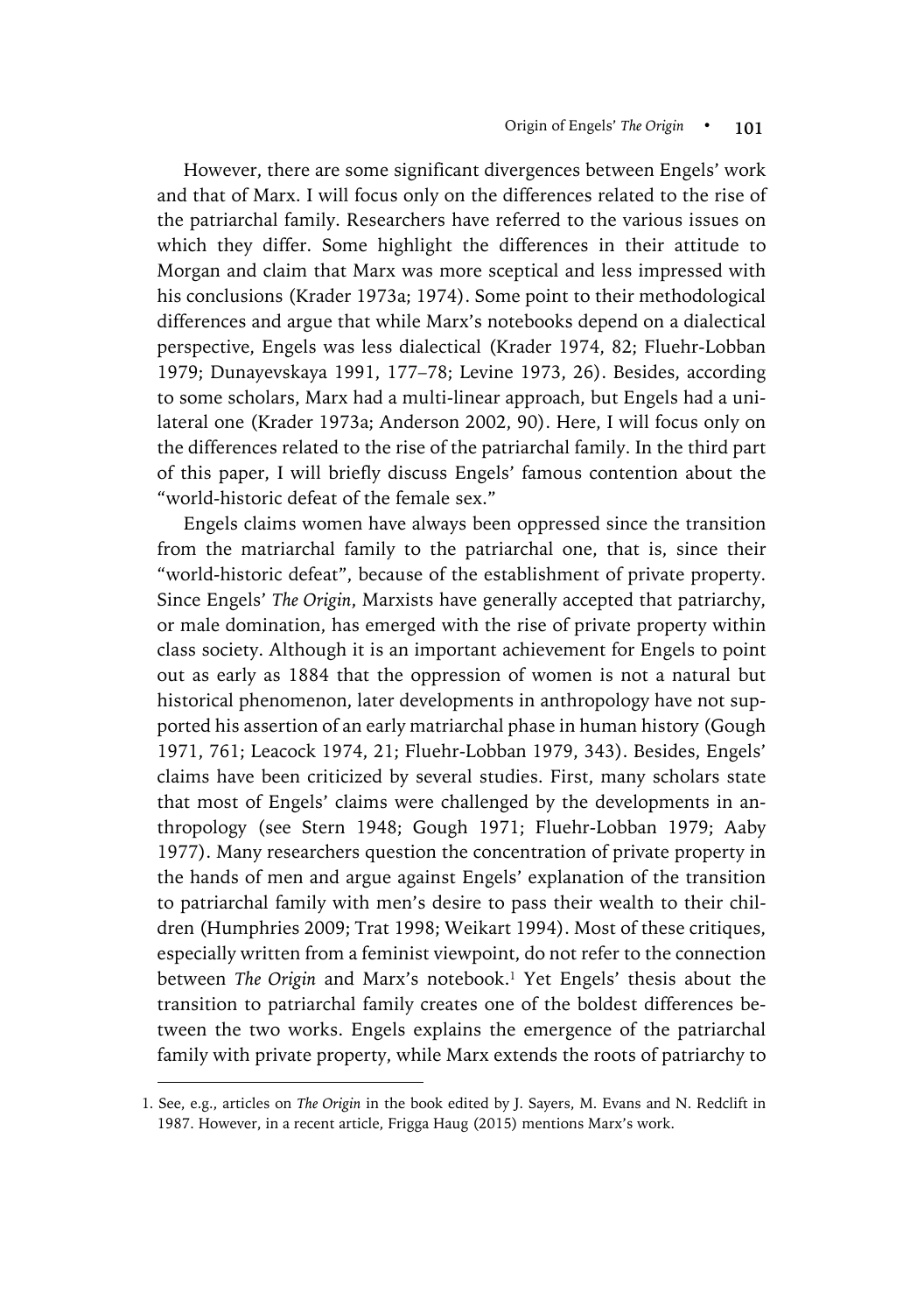However, there are some significant divergences between Engels' work and that of Marx. I will focus only on the differences related to the rise of the patriarchal family. Researchers have referred to the various issues on which they differ. Some highlight the differences in their attitude to Morgan and claim that Marx was more sceptical and less impressed with his conclusions (Krader 1973a; 1974). Some point to their methodological differences and argue that while Marx's notebooks depend on a dialectical perspective, Engels was less dialectical (Krader 1974, 82; Fluehr-Lobban 1979; Dunayevskaya 1991, 177–78; Levine 1973, 26). Besides, according to some scholars, Marx had a multi-linear approach, but Engels had a unilateral one (Krader 1973a; Anderson 2002, 90). Here, I will focus only on the differences related to the rise of the patriarchal family. In the third part of this paper, I will briefly discuss Engels' famous contention about the "world-historic defeat of the female sex."

Engels claims women have always been oppressed since the transition from the matriarchal family to the patriarchal one, that is, since their "world-historic defeat", because of the establishment of private property. Since Engels' *The Origin*, Marxists have generally accepted that patriarchy, or male domination, has emerged with the rise of private property within class society. Although it is an important achievement for Engels to point out as early as 1884 that the oppression of women is not a natural but historical phenomenon, later developments in anthropology have not supported his assertion of an early matriarchal phase in human history (Gough 1971, 761; Leacock 1974, 21; Fluehr-Lobban 1979, 343). Besides, Engels' claims have been criticized by several studies. First, many scholars state that most of Engels' claims were challenged by the developments in anthropology (see Stern 1948; Gough 1971; Fluehr-Lobban 1979; Aaby 1977). Many researchers question the concentration of private property in the hands of men and argue against Engels' explanation of the transition to patriarchal family with men's desire to pass their wealth to their children (Humphries 2009; Trat 1998; Weikart 1994). Most of these critiques, especially written from a feminist viewpoint, do not refer to the connection between *The Origin* and Marx's notebook.<sup>1</sup> Yet Engels' thesis about the transition to patriarchal family creates one of the boldest differences between the two works. Engels explains the emergence of the patriarchal family with private property, while Marx extends the roots of patriarchy to

 $\overline{a}$ 

<sup>1.</sup> See, e.g., articles on *The Origin* in the book edited by J. Sayers, M. Evans and N. Redclift in 1987. However, in a recent article, Frigga Haug (2015) mentions Marx's work.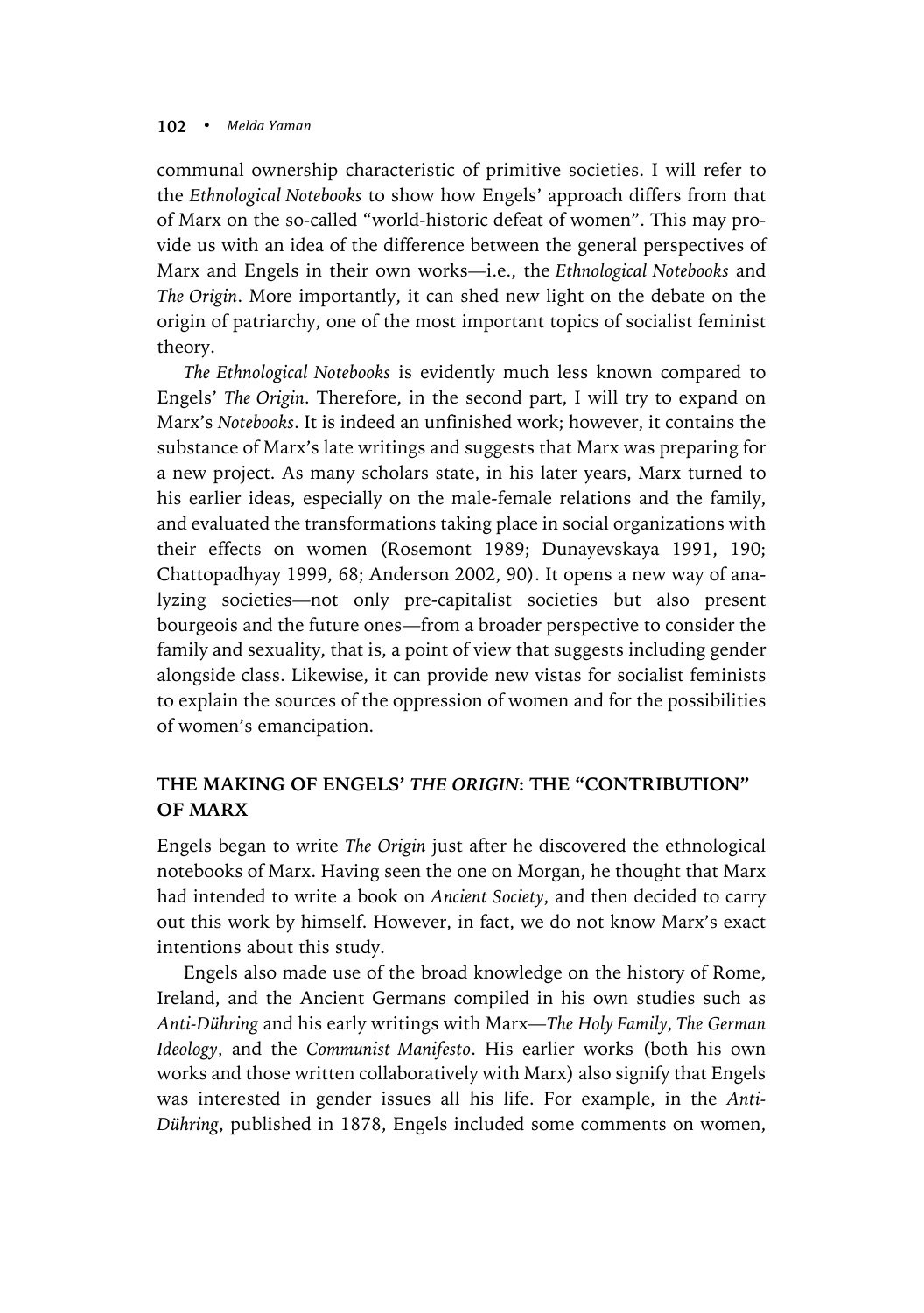communal ownership characteristic of primitive societies. I will refer to the *Ethnological Notebooks* to show how Engels' approach differs from that of Marx on the so-called "world-historic defeat of women". This may provide us with an idea of the difference between the general perspectives of Marx and Engels in their own works—i.e., the *Ethnological Notebooks* and *The Origin*. More importantly, it can shed new light on the debate on the origin of patriarchy, one of the most important topics of socialist feminist theory.

*The Ethnological Notebooks* is evidently much less known compared to Engels' *The Origin*. Therefore, in the second part, I will try to expand on Marx's *Notebooks*. It is indeed an unfinished work; however, it contains the substance of Marx's late writings and suggests that Marx was preparing for a new project. As many scholars state, in his later years, Marx turned to his earlier ideas, especially on the male-female relations and the family, and evaluated the transformations taking place in social organizations with their effects on women (Rosemont 1989; Dunayevskaya 1991, 190; Chattopadhyay 1999, 68; Anderson 2002, 90). It opens a new way of analyzing societies—not only pre-capitalist societies but also present bourgeois and the future ones—from a broader perspective to consider the family and sexuality, that is, a point of view that suggests including gender alongside class. Likewise, it can provide new vistas for socialist feminists to explain the sources of the oppression of women and for the possibilities of women's emancipation.

# **THE MAKING OF ENGELS'** *THE ORIGIN***: THE "CONTRIBUTION" OF MARX**

Engels began to write *The Origin* just after he discovered the ethnological notebooks of Marx. Having seen the one on Morgan, he thought that Marx had intended to write a book on *Ancient Society*, and then decided to carry out this work by himself. However, in fact, we do not know Marx's exact intentions about this study.

Engels also made use of the broad knowledge on the history of Rome, Ireland, and the Ancient Germans compiled in his own studies such as *Anti-Dühring* and his early writings with Marx—*The Holy Family*, *The German Ideology*, and the *Communist Manifesto*. His earlier works (both his own works and those written collaboratively with Marx) also signify that Engels was interested in gender issues all his life. For example, in the *Anti-Dühring*, published in 1878, Engels included some comments on women,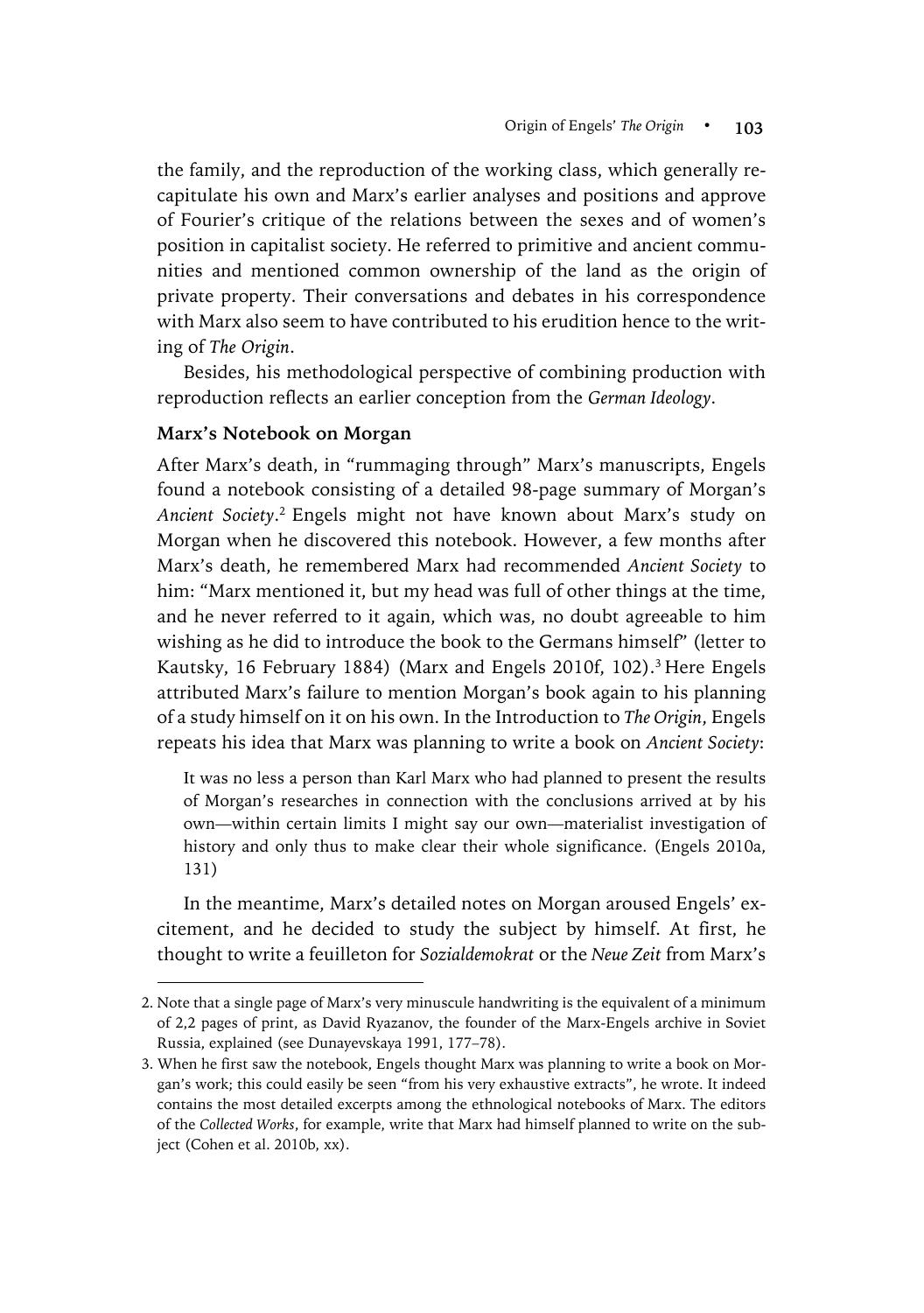the family, and the reproduction of the working class, which generally recapitulate his own and Marx's earlier analyses and positions and approve of Fourier's critique of the relations between the sexes and of women's position in capitalist society. He referred to primitive and ancient communities and mentioned common ownership of the land as the origin of private property. Their conversations and debates in his correspondence with Marx also seem to have contributed to his erudition hence to the writing of *The Origin*.

Besides, his methodological perspective of combining production with reproduction reflects an earlier conception from the *German Ideology*.

## **Marx's Notebook on Morgan**

 $\overline{a}$ 

After Marx's death, in "rummaging through" Marx's manuscripts, Engels found a notebook consisting of a detailed 98-page summary of Morgan's *Ancient Society*. <sup>2</sup> Engels might not have known about Marx's study on Morgan when he discovered this notebook. However, a few months after Marx's death, he remembered Marx had recommended *Ancient Society* to him: "Marx mentioned it, but my head was full of other things at the time, and he never referred to it again, which was, no doubt agreeable to him wishing as he did to introduce the book to the Germans himself" (letter to Kautsky, 16 February 1884) (Marx and Engels 2010f, 102). <sup>3</sup> Here Engels attributed Marx's failure to mention Morgan's book again to his planning of a study himself on it on his own. In the Introduction to *The Origin*, Engels repeats his idea that Marx was planning to write a book on *Ancient Society*:

It was no less a person than Karl Marx who had planned to present the results of Morgan's researches in connection with the conclusions arrived at by his own—within certain limits I might say our own—materialist investigation of history and only thus to make clear their whole significance. (Engels 2010a, 131)

In the meantime, Marx's detailed notes on Morgan aroused Engels' excitement, and he decided to study the subject by himself. At first, he thought to write a feuilleton for *Sozialdemokrat* or the *Neue Zeit* from Marx's

<sup>2.</sup> Note that a single page of Marx's very minuscule handwriting is the equivalent of a minimum of 2,2 pages of print, as David Ryazanov, the founder of the Marx-Engels archive in Soviet Russia, explained (see Dunayevskaya 1991, 177–78).

<sup>3.</sup> When he first saw the notebook, Engels thought Marx was planning to write a book on Morgan's work; this could easily be seen "from his very exhaustive extracts", he wrote. It indeed contains the most detailed excerpts among the ethnological notebooks of Marx. The editors of the *Collected Works*, for example, write that Marx had himself planned to write on the subject (Cohen et al. 2010b, xx).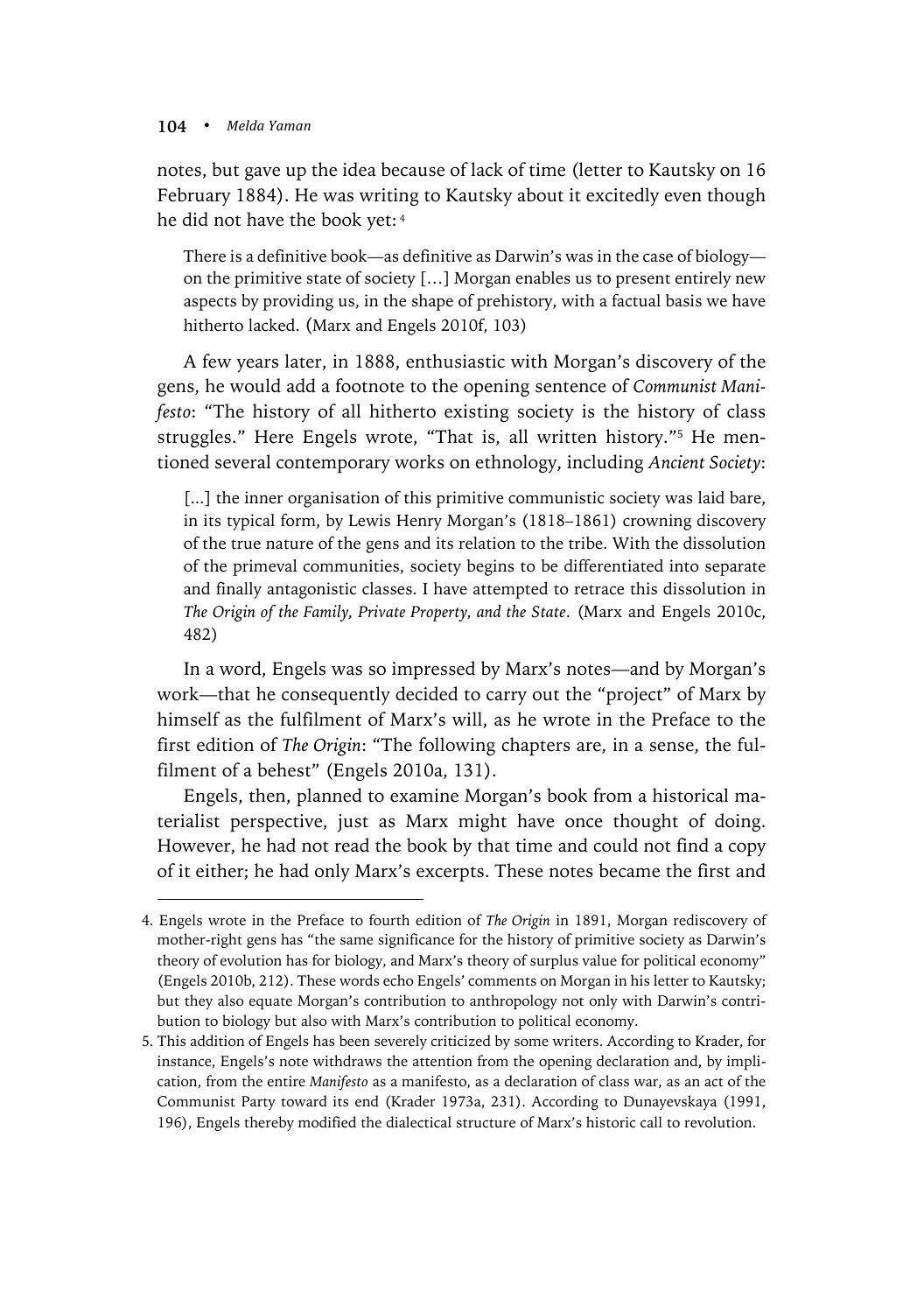$\overline{a}$ 

notes, but gave up the idea because of lack of time (letter to Kautsky on 16 February 1884). He was writing to Kautsky about it excitedly even though he did not have the book yet: <sup>4</sup>

There is a definitive book—as definitive as Darwin's was in the case of biology on the primitive state of society […] Morgan enables us to present entirely new aspects by providing us, in the shape of prehistory, with a factual basis we have hitherto lacked. (Marx and Engels 2010f, 103)

A few years later, in 1888, enthusiastic with Morgan's discovery of the gens, he would add a footnote to the opening sentence of *Communist Manifesto*: "The history of all hitherto existing society is the history of class struggles." Here Engels wrote, "That is, all written history."5 He mentioned several contemporary works on ethnology, including *Ancient Society*:

[...] the inner organisation of this primitive communistic society was laid bare, in its typical form, by Lewis Henry Morgan's (1818–1861) crowning discovery of the true nature of the gens and its relation to the tribe. With the dissolution of the primeval communities, society begins to be differentiated into separate and finally antagonistic classes. I have attempted to retrace this dissolution in *The Origin of the Family, Private Property, and the State*. (Marx and Engels 2010c, 482)

In a word, Engels was so impressed by Marx's notes—and by Morgan's work—that he consequently decided to carry out the "project" of Marx by himself as the fulfilment of Marx's will, as he wrote in the Preface to the first edition of *The Origin*: "The following chapters are, in a sense, the fulfilment of a behest" (Engels 2010a, 131).

Engels, then, planned to examine Morgan's book from a historical materialist perspective, just as Marx might have once thought of doing. However, he had not read the book by that time and could not find a copy of it either; he had only Marx's excerpts. These notes became the first and

<sup>4.</sup> Engels wrote in the Preface to fourth edition of *The Origin* in 1891, Morgan rediscovery of mother-right gens has "the same significance for the history of primitive society as Darwin's theory of evolution has for biology, and Marx's theory of surplus value for political economy" (Engels 2010b, 212). These words echo Engels' comments on Morgan in his letter to Kautsky; but they also equate Morgan's contribution to anthropology not only with Darwin's contribution to biology but also with Marx's contribution to political economy.

<sup>5.</sup> This addition of Engels has been severely criticized by some writers. According to Krader, for instance, Engels's note withdraws the attention from the opening declaration and, by implication, from the entire *Manifesto* as a manifesto, as a declaration of class war, as an act of the Communist Party toward its end (Krader 1973a, 231). According to Dunayevskaya (1991, 196), Engels thereby modified the dialectical structure of Marx's historic call to revolution.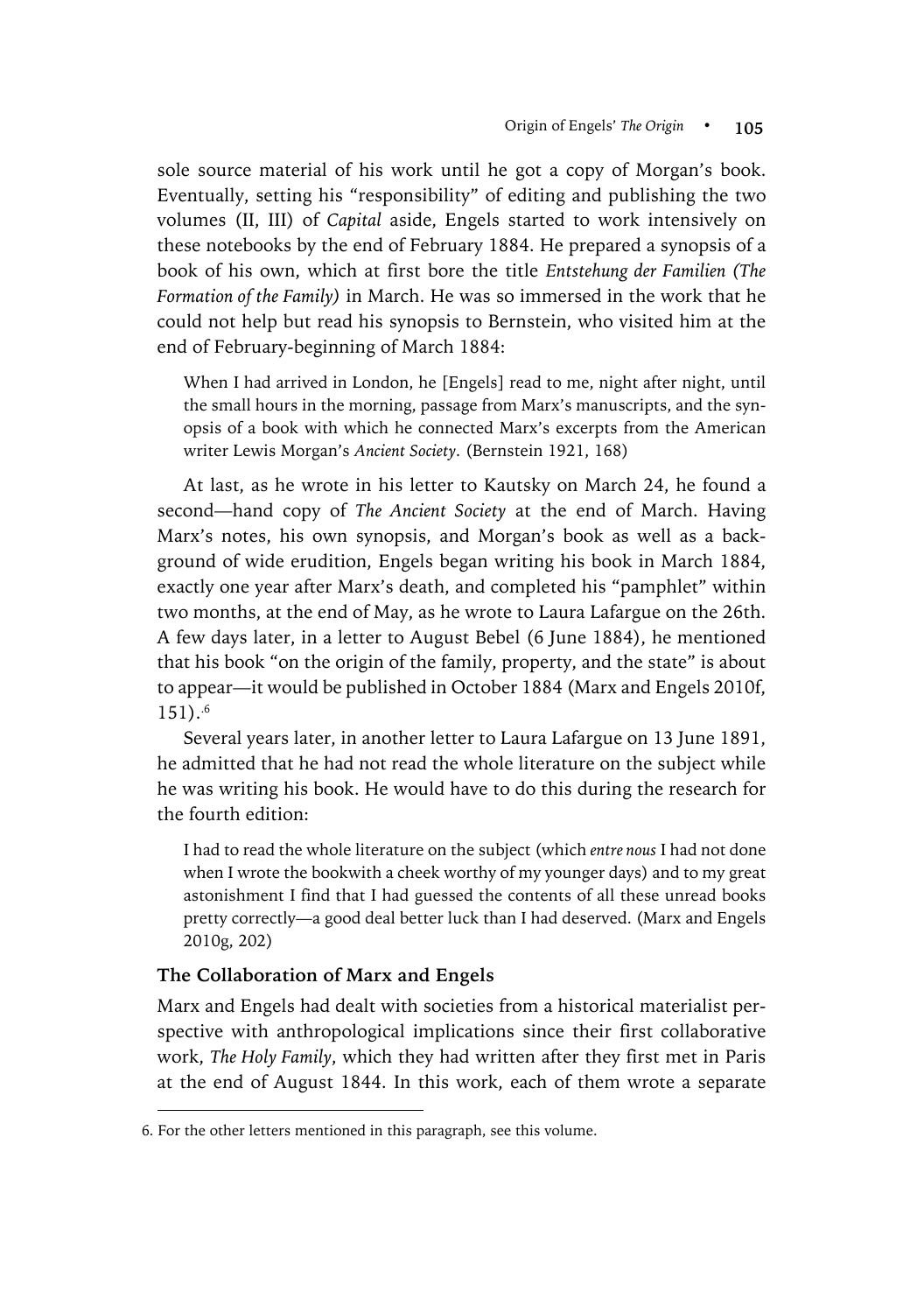sole source material of his work until he got a copy of Morgan's book. Eventually, setting his "responsibility" of editing and publishing the two volumes (II, III) of *Capital* aside, Engels started to work intensively on these notebooks by the end of February 1884. He prepared a synopsis of a book of his own, which at first bore the title *Entstehung der Familien (The Formation of the Family)* in March. He was so immersed in the work that he could not help but read his synopsis to Bernstein, who visited him at the end of February-beginning of March 1884:

When I had arrived in London, he [Engels] read to me, night after night, until the small hours in the morning, passage from Marx's manuscripts, and the synopsis of a book with which he connected Marx's excerpts from the American writer Lewis Morgan's *Ancient Society*. (Bernstein 1921, 168)

At last, as he wrote in his letter to Kautsky on March 24, he found a second—hand copy of *The Ancient Society* at the end of March. Having Marx's notes, his own synopsis, and Morgan's book as well as a background of wide erudition, Engels began writing his book in March 1884, exactly one year after Marx's death, and completed his "pamphlet" within two months, at the end of May, as he wrote to Laura Lafargue on the 26th. A few days later, in a letter to August Bebel (6 June 1884), he mentioned that his book "on the origin of the family, property, and the state" is about to appear—it would be published in October 1884 (Marx and Engels 2010f,  $151$ ).<sup>6</sup>

Several years later, in another letter to Laura Lafargue on 13 June 1891, he admitted that he had not read the whole literature on the subject while he was writing his book. He would have to do this during the research for the fourth edition:

I had to read the whole literature on the subject (which *entre nous* I had not done when I wrote the bookwith a cheek worthy of my younger days) and to my great astonishment I find that I had guessed the contents of all these unread books pretty correctly—a good deal better luck than I had deserved. (Marx and Engels 2010g, 202)

## **The Collaboration of Marx and Engels**

 $\overline{a}$ 

Marx and Engels had dealt with societies from a historical materialist perspective with anthropological implications since their first collaborative work, *The Holy Family*, which they had written after they first met in Paris at the end of August 1844. In this work, each of them wrote a separate

<sup>6.</sup> For the other letters mentioned in this paragraph, see this volume.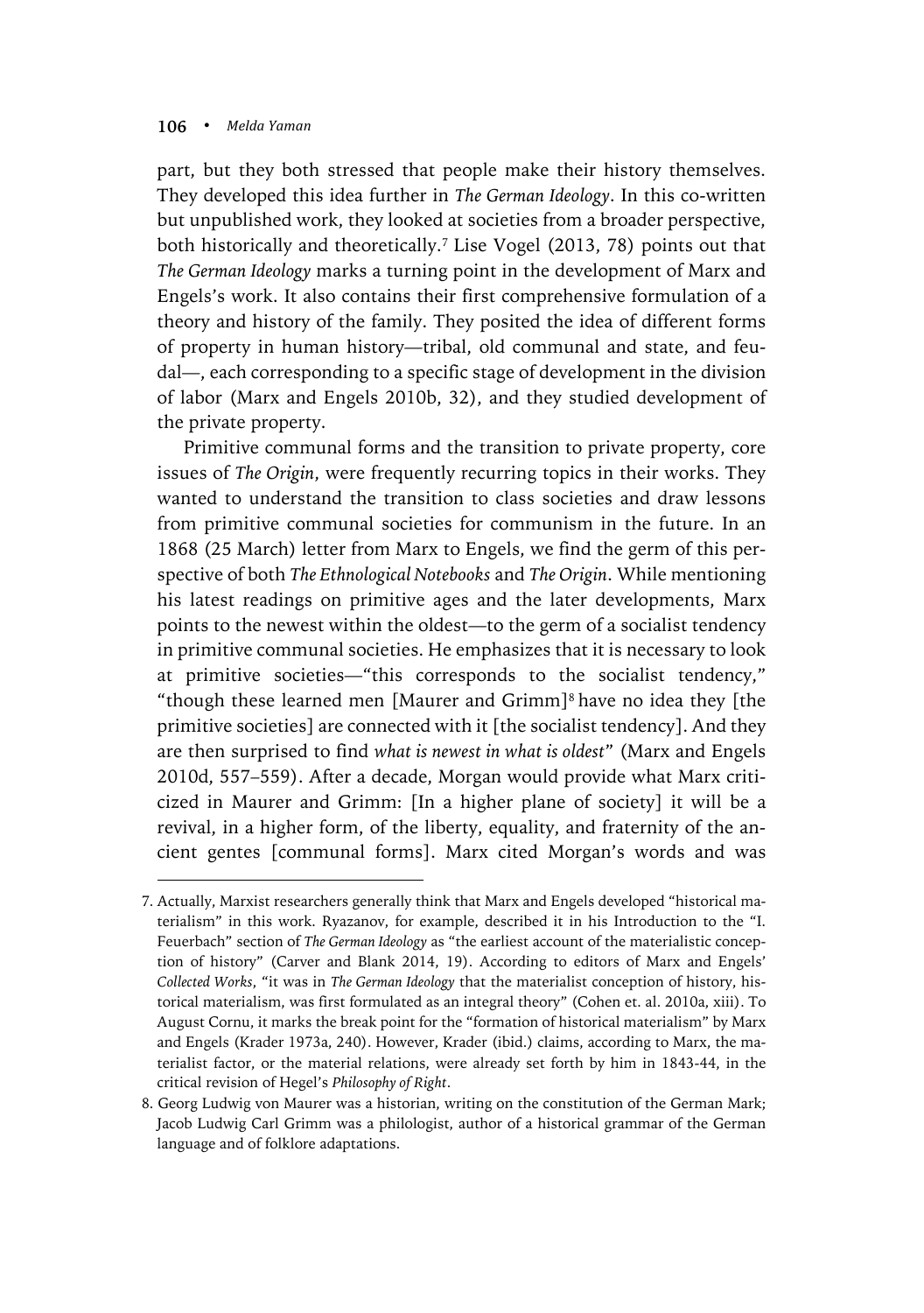$\overline{a}$ 

part, but they both stressed that people make their history themselves. They developed this idea further in *The German Ideology*. In this co-written but unpublished work, they looked at societies from a broader perspective, both historically and theoretically.7 Lise Vogel (2013, 78) points out that *The German Ideology* marks a turning point in the development of Marx and Engels's work. It also contains their first comprehensive formulation of a theory and history of the family. They posited the idea of different forms of property in human history—tribal, old communal and state, and feudal—, each corresponding to a specific stage of development in the division of labor (Marx and Engels 2010b, 32), and they studied development of the private property.

Primitive communal forms and the transition to private property, core issues of *The Origin*, were frequently recurring topics in their works. They wanted to understand the transition to class societies and draw lessons from primitive communal societies for communism in the future. In an 1868 (25 March) letter from Marx to Engels, we find the germ of this perspective of both *The Ethnological Notebooks* and *The Origin*. While mentioning his latest readings on primitive ages and the later developments, Marx points to the newest within the oldest—to the germ of a socialist tendency in primitive communal societies. He emphasizes that it is necessary to look at primitive societies—"this corresponds to the socialist tendency," "though these learned men [Maurer and Grimm]8 have no idea they [the primitive societies] are connected with it [the socialist tendency]. And they are then surprised to find *what is newest in what is oldest*" (Marx and Engels 2010d, 557–559). After a decade, Morgan would provide what Marx criticized in Maurer and Grimm: [In a higher plane of society] it will be a revival, in a higher form, of the liberty, equality, and fraternity of the ancient gentes [communal forms]. Marx cited Morgan's words and was

<sup>7.</sup> Actually, Marxist researchers generally think that Marx and Engels developed "historical materialism" in this work. Ryazanov, for example, described it in his Introduction to the "I. Feuerbach" section of *The German Ideology* as "the earliest account of the materialistic conception of history" (Carver and Blank 2014, 19). According to editors of Marx and Engels' *Collected Works*, "it was in *The German Ideology* that the materialist conception of history, historical materialism, was first formulated as an integral theory" (Cohen et. al. 2010a, xiii). To August Cornu, it marks the break point for the "formation of historical materialism" by Marx and Engels (Krader 1973a, 240). However, Krader (ibid.) claims, according to Marx, the materialist factor, or the material relations, were already set forth by him in 1843-44, in the critical revision of Hegel's *Philosophy of Right*.

<sup>8.</sup> Georg Ludwig von Maurer was a historian, writing on the constitution of the German Mark; Jacob Ludwig Carl Grimm was a philologist, author of a historical grammar of the German language and of folklore adaptations.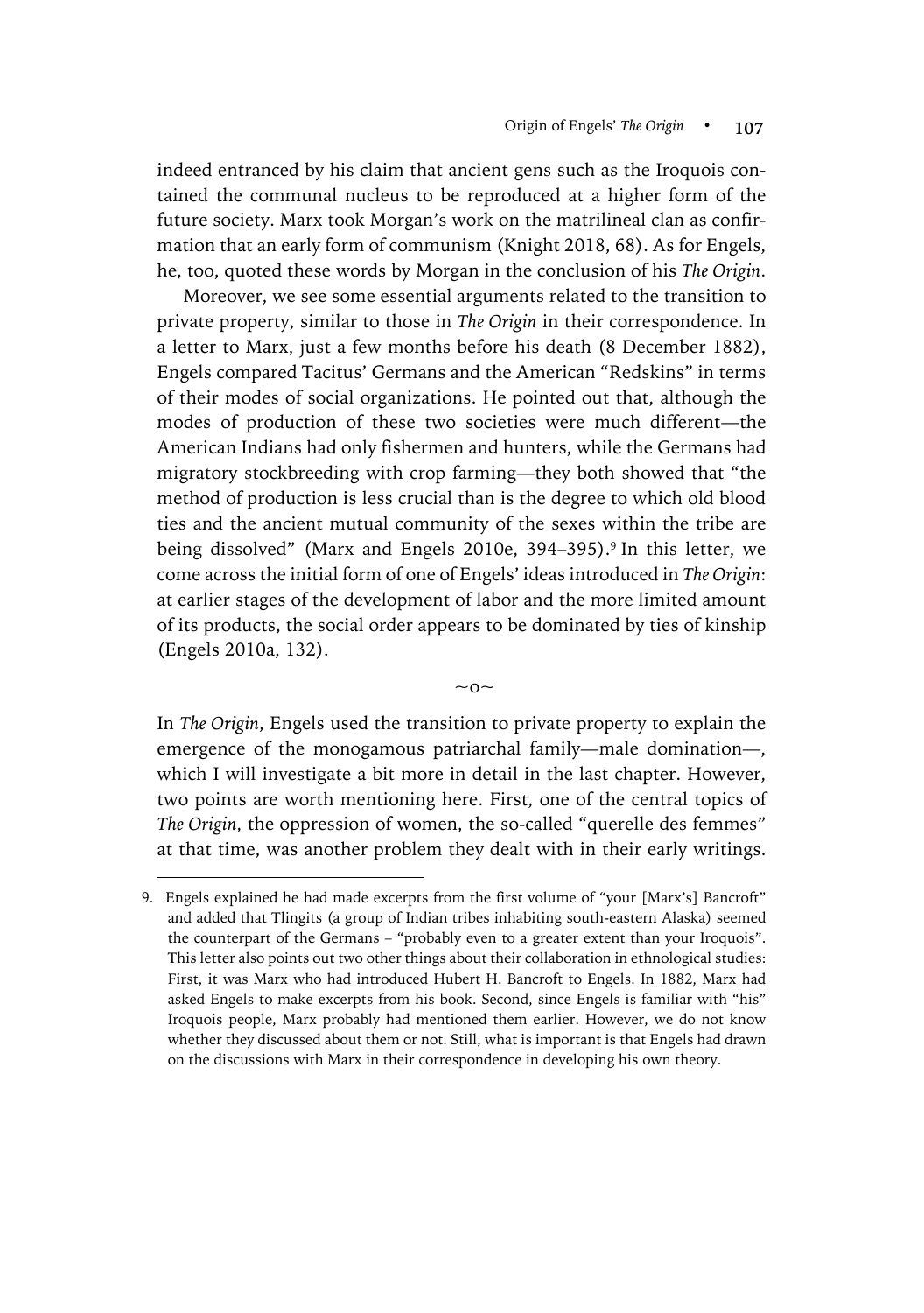indeed entranced by his claim that ancient gens such as the Iroquois contained the communal nucleus to be reproduced at a higher form of the future society. Marx took Morgan's work on the matrilineal clan as confirmation that an early form of communism (Knight 2018, 68). As for Engels, he, too, quoted these words by Morgan in the conclusion of his *The Origin*.

Moreover, we see some essential arguments related to the transition to private property, similar to those in *The Origin* in their correspondence. In a letter to Marx, just a few months before his death (8 December 1882), Engels compared Tacitus' Germans and the American "Redskins" in terms of their modes of social organizations. He pointed out that, although the modes of production of these two societies were much different—the American Indians had only fishermen and hunters, while the Germans had migratory stockbreeding with crop farming—they both showed that "the method of production is less crucial than is the degree to which old blood ties and the ancient mutual community of the sexes within the tribe are being dissolved" (Marx and Engels 2010e, 394–395). <sup>9</sup> In this letter, we come across the initial form of one of Engels' ideas introduced in *The Origin*: at earlier stages of the development of labor and the more limited amount of its products, the social order appears to be dominated by ties of kinship (Engels 2010a, 132).

In *The Origin*, Engels used the transition to private property to explain the emergence of the monogamous patriarchal family—male domination—, which I will investigate a bit more in detail in the last chapter. However, two points are worth mentioning here. First, one of the central topics of *The Origin*, the oppression of women, the so-called "querelle des femmes" at that time, was another problem they dealt with in their early writings.

 $~\sim$  0 $~\sim$ 

 $\overline{a}$ 

<sup>9.</sup> Engels explained he had made excerpts from the first volume of "your [Marx's] Bancroft" and added that Tlingits (a group of Indian tribes inhabiting south-eastern Alaska) seemed the counterpart of the Germans – "probably even to a greater extent than your Iroquois". This letter also points out two other things about their collaboration in ethnological studies: First, it was Marx who had introduced Hubert H. Bancroft to Engels. In 1882, Marx had asked Engels to make excerpts from his book. Second, since Engels is familiar with "his" Iroquois people, Marx probably had mentioned them earlier. However, we do not know whether they discussed about them or not. Still, what is important is that Engels had drawn on the discussions with Marx in their correspondence in developing his own theory.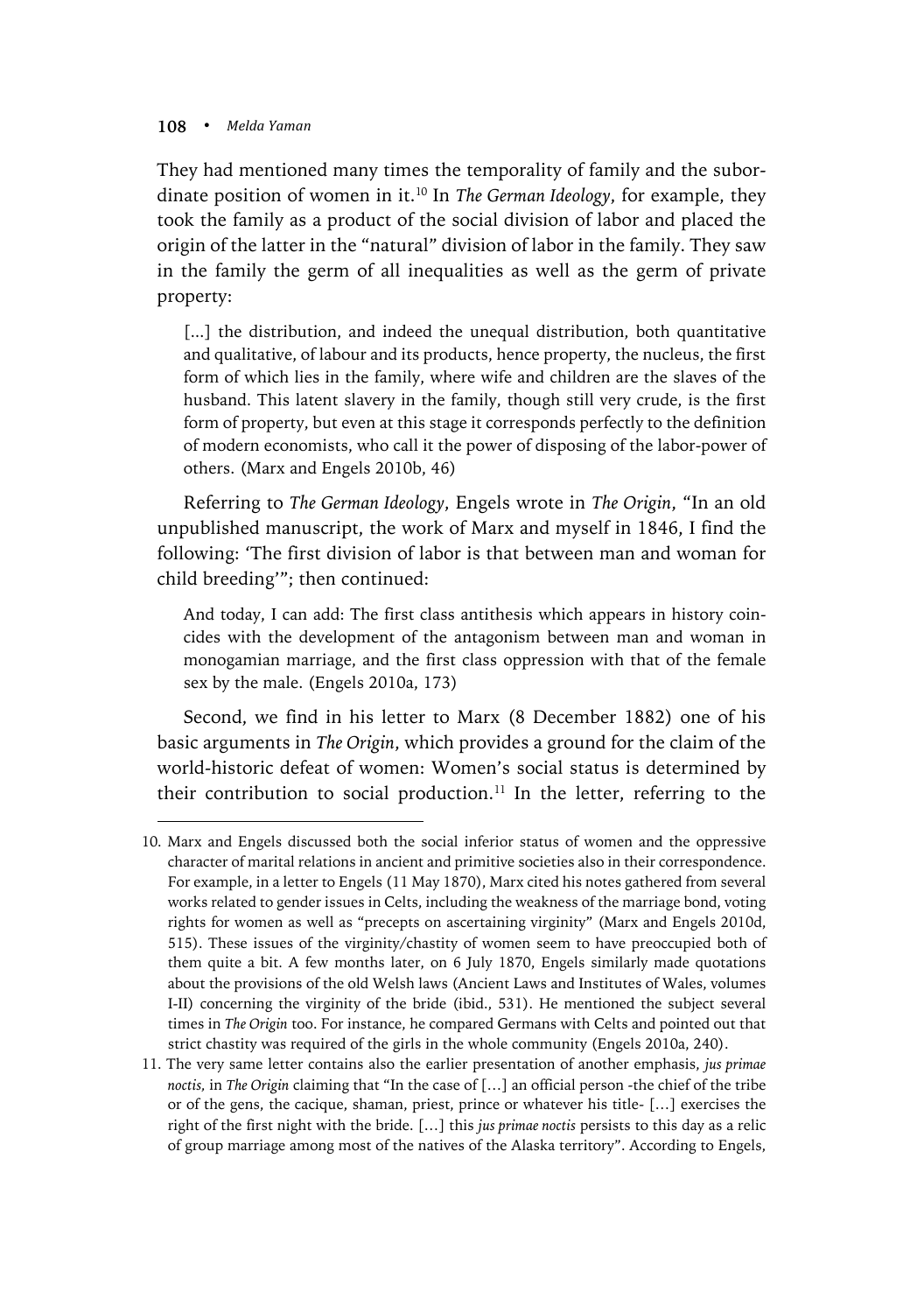$\overline{a}$ 

They had mentioned many times the temporality of family and the subordinate position of women in it.10 In *The German Ideology*, for example, they took the family as a product of the social division of labor and placed the origin of the latter in the "natural" division of labor in the family. They saw in the family the germ of all inequalities as well as the germ of private property:

[...] the distribution, and indeed the unequal distribution, both quantitative and qualitative, of labour and its products, hence property, the nucleus, the first form of which lies in the family, where wife and children are the slaves of the husband. This latent slavery in the family, though still very crude, is the first form of property, but even at this stage it corresponds perfectly to the definition of modern economists, who call it the power of disposing of the labor-power of others. (Marx and Engels 2010b, 46)

Referring to *The German Ideology*, Engels wrote in *The Origin*, "In an old unpublished manuscript, the work of Marx and myself in 1846, I find the following: 'The first division of labor is that between man and woman for child breeding'"; then continued:

And today, I can add: The first class antithesis which appears in history coincides with the development of the antagonism between man and woman in monogamian marriage, and the first class oppression with that of the female sex by the male. (Engels 2010a, 173)

Second, we find in his letter to Marx (8 December 1882) one of his basic arguments in *The Origin*, which provides a ground for the claim of the world-historic defeat of women: Women's social status is determined by their contribution to social production.<sup>11</sup> In the letter, referring to the

<sup>10.</sup> Marx and Engels discussed both the social inferior status of women and the oppressive character of marital relations in ancient and primitive societies also in their correspondence. For example, in a letter to Engels (11 May 1870), Marx cited his notes gathered from several works related to gender issues in Celts, including the weakness of the marriage bond, voting rights for women as well as "precepts on ascertaining virginity" (Marx and Engels 2010d, 515). These issues of the virginity/chastity of women seem to have preoccupied both of them quite a bit. A few months later, on 6 July 1870, Engels similarly made quotations about the provisions of the old Welsh laws (Ancient Laws and Institutes of Wales, volumes I-II) concerning the virginity of the bride (ibid., 531). He mentioned the subject several times in *The Origin* too. For instance, he compared Germans with Celts and pointed out that strict chastity was required of the girls in the whole community (Engels 2010a, 240).

<sup>11.</sup> The very same letter contains also the earlier presentation of another emphasis, *jus primae noctis,* in *The Origin* claiming that "In the case of […] an official person -the chief of the tribe or of the gens, the cacique, shaman, priest, prince or whatever his title- […] exercises the right of the first night with the bride. […] this *jus primae noctis* persists to this day as a relic of group marriage among most of the natives of the Alaska territory". According to Engels,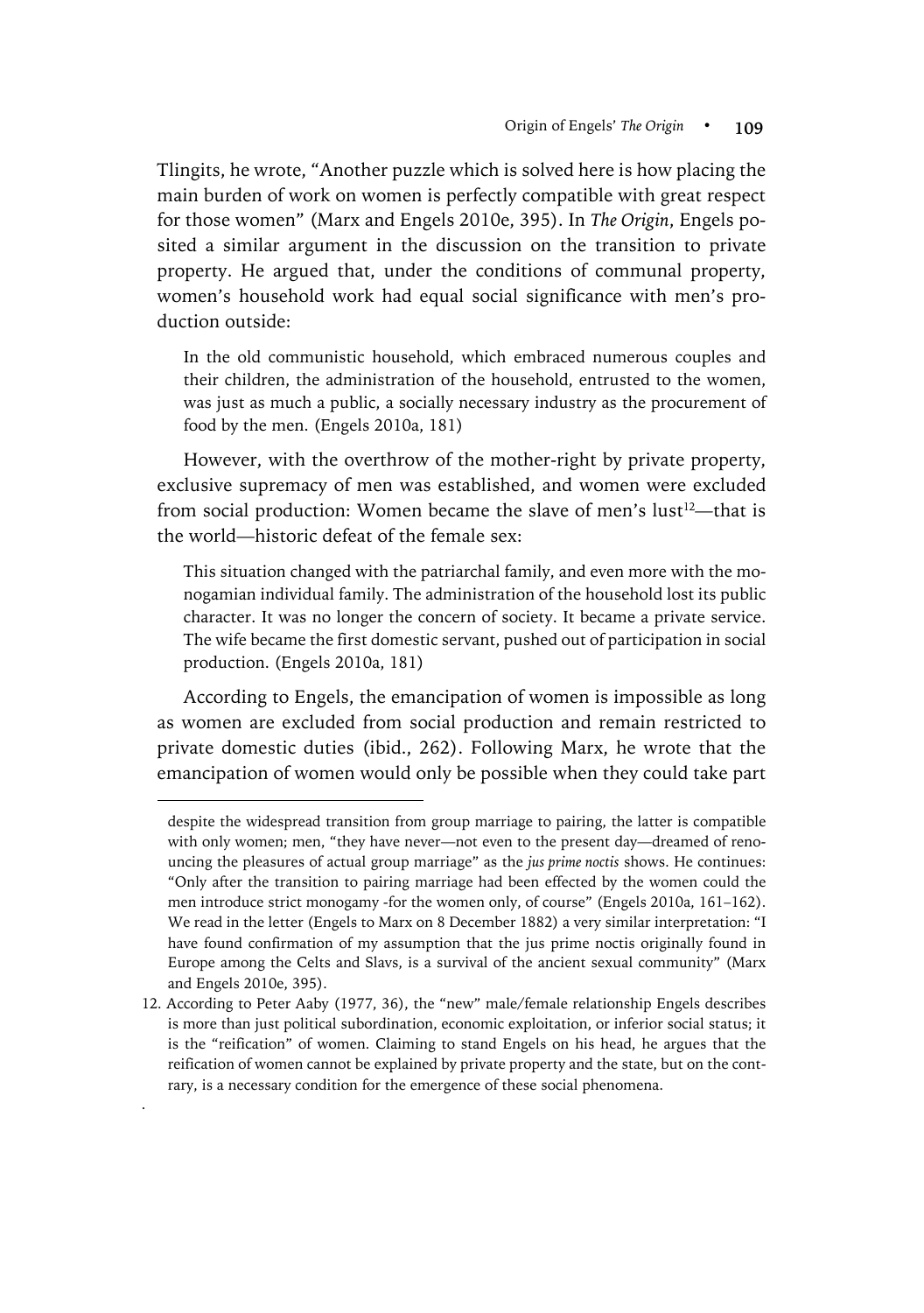Tlingits, he wrote, "Another puzzle which is solved here is how placing the main burden of work on women is perfectly compatible with great respect for those women" (Marx and Engels 2010e, 395). In *The Origin*, Engels posited a similar argument in the discussion on the transition to private property. He argued that, under the conditions of communal property, women's household work had equal social significance with men's production outside:

In the old communistic household, which embraced numerous couples and their children, the administration of the household, entrusted to the women, was just as much a public, a socially necessary industry as the procurement of food by the men. (Engels 2010a, 181)

However, with the overthrow of the mother-right by private property, exclusive supremacy of men was established, and women were excluded from social production: Women became the slave of men's lust<sup>12</sup>—that is the world—historic defeat of the female sex:

This situation changed with the patriarchal family, and even more with the monogamian individual family. The administration of the household lost its public character. It was no longer the concern of society. It became a private service. The wife became the first domestic servant, pushed out of participation in social production. (Engels 2010a, 181)

According to Engels, the emancipation of women is impossible as long as women are excluded from social production and remain restricted to private domestic duties (ibid., 262). Following Marx, he wrote that the emancipation of women would only be possible when they could take part

 $\overline{a}$ 

.

despite the widespread transition from group marriage to pairing, the latter is compatible with only women; men, "they have never—not even to the present day—dreamed of renouncing the pleasures of actual group marriage" as the *jus prime noctis* shows. He continues: "Only after the transition to pairing marriage had been effected by the women could the men introduce strict monogamy -for the women only, of course" (Engels 2010a, 161–162). We read in the letter (Engels to Marx on 8 December 1882) a very similar interpretation: "I have found confirmation of my assumption that the jus prime noctis originally found in Europe among the Celts and Slavs, is a survival of the ancient sexual community" (Marx and Engels 2010e, 395).

<sup>12.</sup> According to Peter Aaby (1977, 36), the "new" male/female relationship Engels describes is more than just political subordination, economic exploitation, or inferior social status; it is the "reification" of women. Claiming to stand Engels on his head, he argues that the reification of women cannot be explained by private property and the state, but on the contrary, is a necessary condition for the emergence of these social phenomena.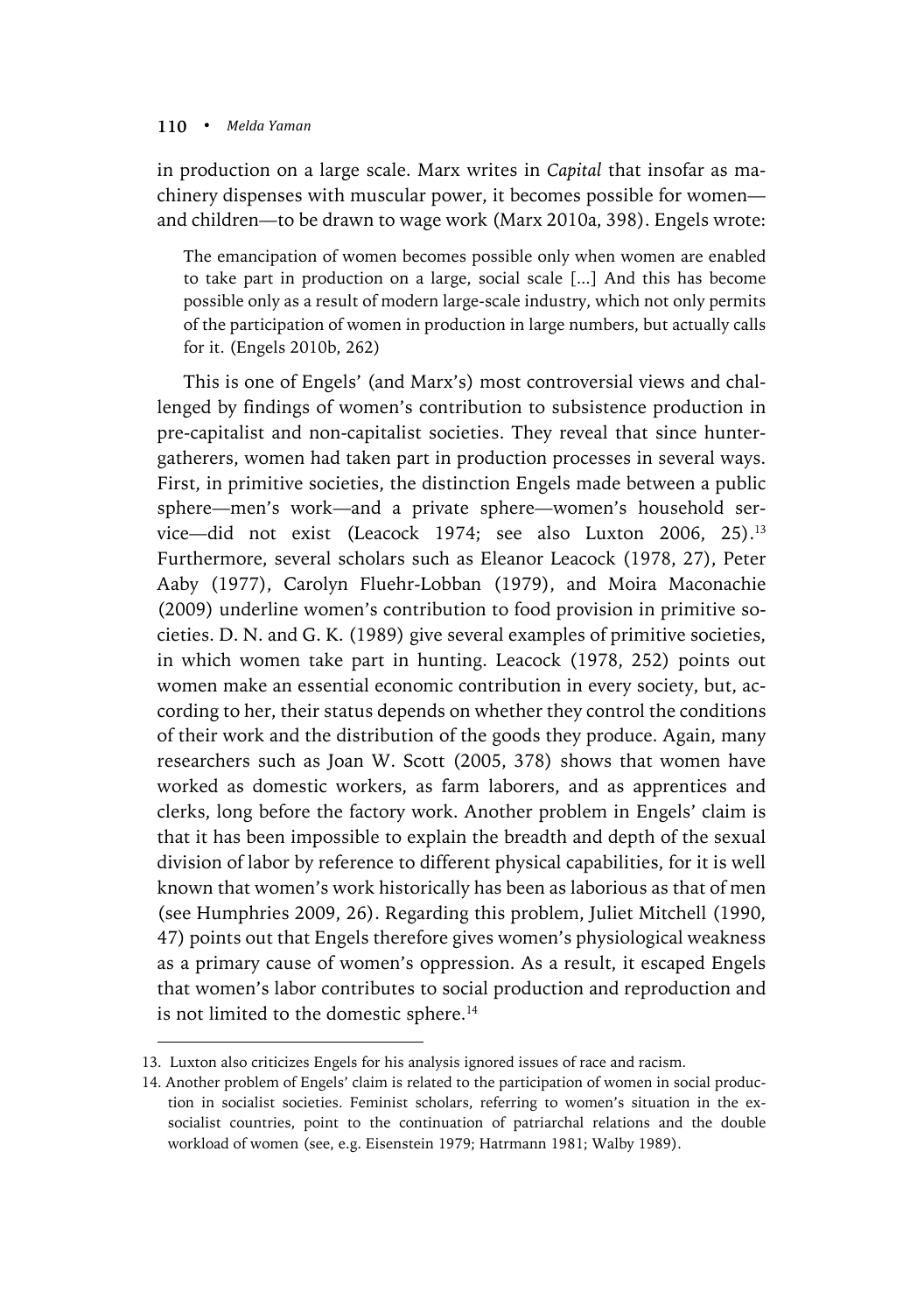$\overline{a}$ 

in production on a large scale. Marx writes in *Capital* that insofar as machinery dispenses with muscular power, it becomes possible for women and children—to be drawn to wage work (Marx 2010a, 398). Engels wrote:

The emancipation of women becomes possible only when women are enabled to take part in production on a large, social scale [...] And this has become possible only as a result of modern large-scale industry, which not only permits of the participation of women in production in large numbers, but actually calls for it. (Engels 2010b, 262)

This is one of Engels' (and Marx's) most controversial views and challenged by findings of women's contribution to subsistence production in pre-capitalist and non-capitalist societies. They reveal that since huntergatherers, women had taken part in production processes in several ways. First, in primitive societies, the distinction Engels made between a public sphere—men's work—and a private sphere—women's household service—did not exist (Leacock 1974; see also Luxton 2006, 25).13 Furthermore, several scholars such as Eleanor Leacock (1978, 27), Peter Aaby (1977), Carolyn Fluehr-Lobban (1979), and Moira Maconachie (2009) underline women's contribution to food provision in primitive societies. D. N. and G. K. (1989) give several examples of primitive societies, in which women take part in hunting. Leacock (1978, 252) points out women make an essential economic contribution in every society, but, according to her, their status depends on whether they control the conditions of their work and the distribution of the goods they produce. Again, many researchers such as Joan W. Scott (2005, 378) shows that women have worked as domestic workers, as farm laborers, and as apprentices and clerks, long before the factory work. Another problem in Engels' claim is that it has been impossible to explain the breadth and depth of the sexual division of labor by reference to different physical capabilities, for it is well known that women's work historically has been as laborious as that of men (see Humphries 2009, 26). Regarding this problem, Juliet Mitchell (1990, 47) points out that Engels therefore gives women's physiological weakness as a primary cause of women's oppression. As a result, it escaped Engels that women's labor contributes to social production and reproduction and is not limited to the domestic sphere.<sup>14</sup>

<sup>13.</sup> Luxton also criticizes Engels for his analysis ignored issues of race and racism.

<sup>14.</sup> Another problem of Engels' claim is related to the participation of women in social production in socialist societies. Feminist scholars, referring to women's situation in the exsocialist countries, point to the continuation of patriarchal relations and the double workload of women (see, e.g. Eisenstein 1979; Hatrmann 1981; Walby 1989).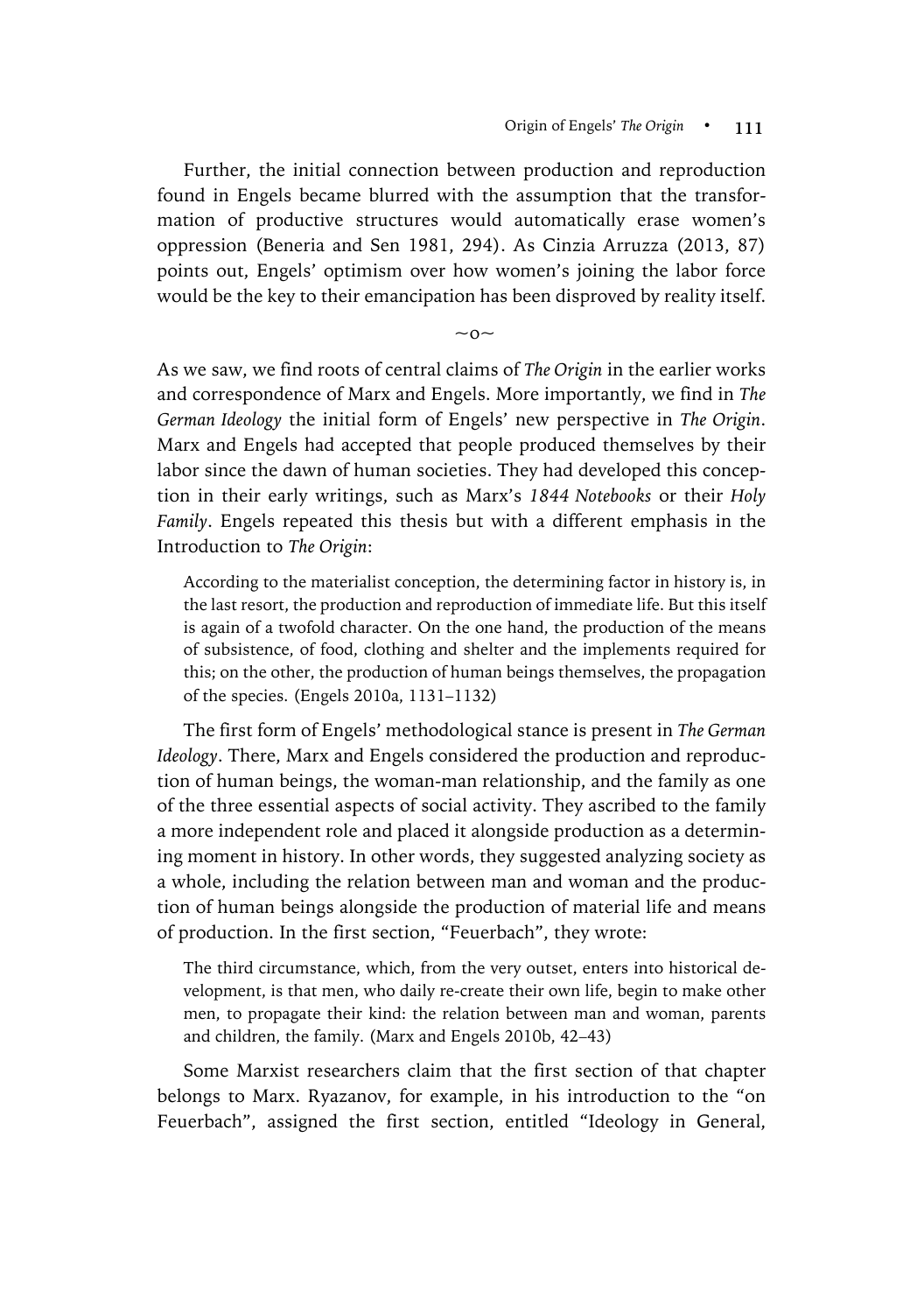Further, the initial connection between production and reproduction found in Engels became blurred with the assumption that the transformation of productive structures would automatically erase women's oppression (Beneria and Sen 1981, 294). As Cinzia Arruzza (2013, 87) points out, Engels' optimism over how women's joining the labor force would be the key to their emancipation has been disproved by reality itself.

 $\sim$ o $\sim$ 

As we saw, we find roots of central claims of *The Origin* in the earlier works and correspondence of Marx and Engels. More importantly, we find in *The German Ideology* the initial form of Engels' new perspective in *The Origin*. Marx and Engels had accepted that people produced themselves by their labor since the dawn of human societies. They had developed this conception in their early writings, such as Marx's *1844 Notebooks* or their *Holy Family*. Engels repeated this thesis but with a different emphasis in the Introduction to *The Origin*:

According to the materialist conception, the determining factor in history is, in the last resort, the production and reproduction of immediate life. But this itself is again of a twofold character. On the one hand, the production of the means of subsistence, of food, clothing and shelter and the implements required for this; on the other, the production of human beings themselves, the propagation of the species. (Engels 2010a, 1131–1132)

The first form of Engels' methodological stance is present in *The German Ideology*. There, Marx and Engels considered the production and reproduction of human beings, the woman-man relationship, and the family as one of the three essential aspects of social activity. They ascribed to the family a more independent role and placed it alongside production as a determining moment in history. In other words, they suggested analyzing society as a whole, including the relation between man and woman and the production of human beings alongside the production of material life and means of production. In the first section, "Feuerbach", they wrote:

The third circumstance, which, from the very outset, enters into historical development, is that men, who daily re-create their own life, begin to make other men, to propagate their kind: the relation between man and woman, parents and children, the family. (Marx and Engels 2010b, 42–43)

Some Marxist researchers claim that the first section of that chapter belongs to Marx. Ryazanov, for example, in his introduction to the "on Feuerbach", assigned the first section, entitled "Ideology in General,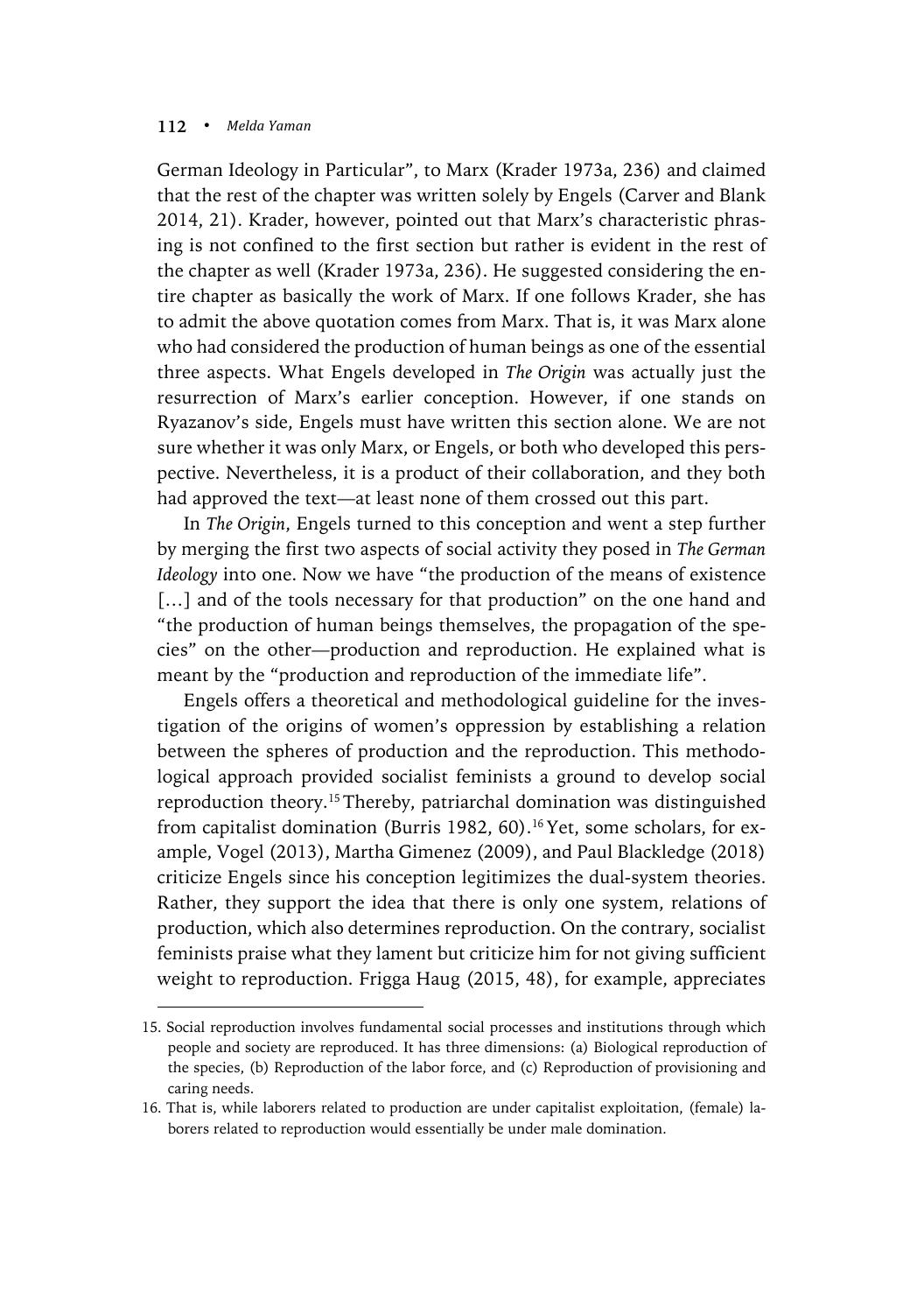$\overline{a}$ 

German Ideology in Particular", to Marx (Krader 1973a, 236) and claimed that the rest of the chapter was written solely by Engels (Carver and Blank 2014, 21). Krader, however, pointed out that Marx's characteristic phrasing is not confined to the first section but rather is evident in the rest of the chapter as well (Krader 1973a, 236). He suggested considering the entire chapter as basically the work of Marx. If one follows Krader, she has to admit the above quotation comes from Marx. That is, it was Marx alone who had considered the production of human beings as one of the essential three aspects. What Engels developed in *The Origin* was actually just the resurrection of Marx's earlier conception. However, if one stands on Ryazanov's side, Engels must have written this section alone. We are not sure whether it was only Marx, or Engels, or both who developed this perspective. Nevertheless, it is a product of their collaboration, and they both had approved the text—at least none of them crossed out this part.

In *The Origin*, Engels turned to this conception and went a step further by merging the first two aspects of social activity they posed in *The German Ideology* into one. Now we have "the production of the means of existence [...] and of the tools necessary for that production" on the one hand and "the production of human beings themselves, the propagation of the species" on the other—production and reproduction. He explained what is meant by the "production and reproduction of the immediate life".

Engels offers a theoretical and methodological guideline for the investigation of the origins of women's oppression by establishing a relation between the spheres of production and the reproduction. This methodological approach provided socialist feminists a ground to develop social reproduction theory.15 Thereby, patriarchal domination was distinguished from capitalist domination (Burris 1982, 60). 16Yet, some scholars, for example, Vogel (2013), Martha Gimenez (2009), and Paul Blackledge (2018) criticize Engels since his conception legitimizes the dual-system theories. Rather, they support the idea that there is only one system, relations of production, which also determines reproduction. On the contrary, socialist feminists praise what they lament but criticize him for not giving sufficient weight to reproduction. Frigga Haug (2015, 48), for example, appreciates

<sup>15.</sup> Social reproduction involves fundamental social processes and institutions through which people and society are reproduced. It has three dimensions: (a) Biological reproduction of the species, (b) Reproduction of the labor force, and (c) Reproduction of provisioning and caring needs.

<sup>16.</sup> That is, while laborers related to production are under capitalist exploitation, (female) laborers related to reproduction would essentially be under male domination.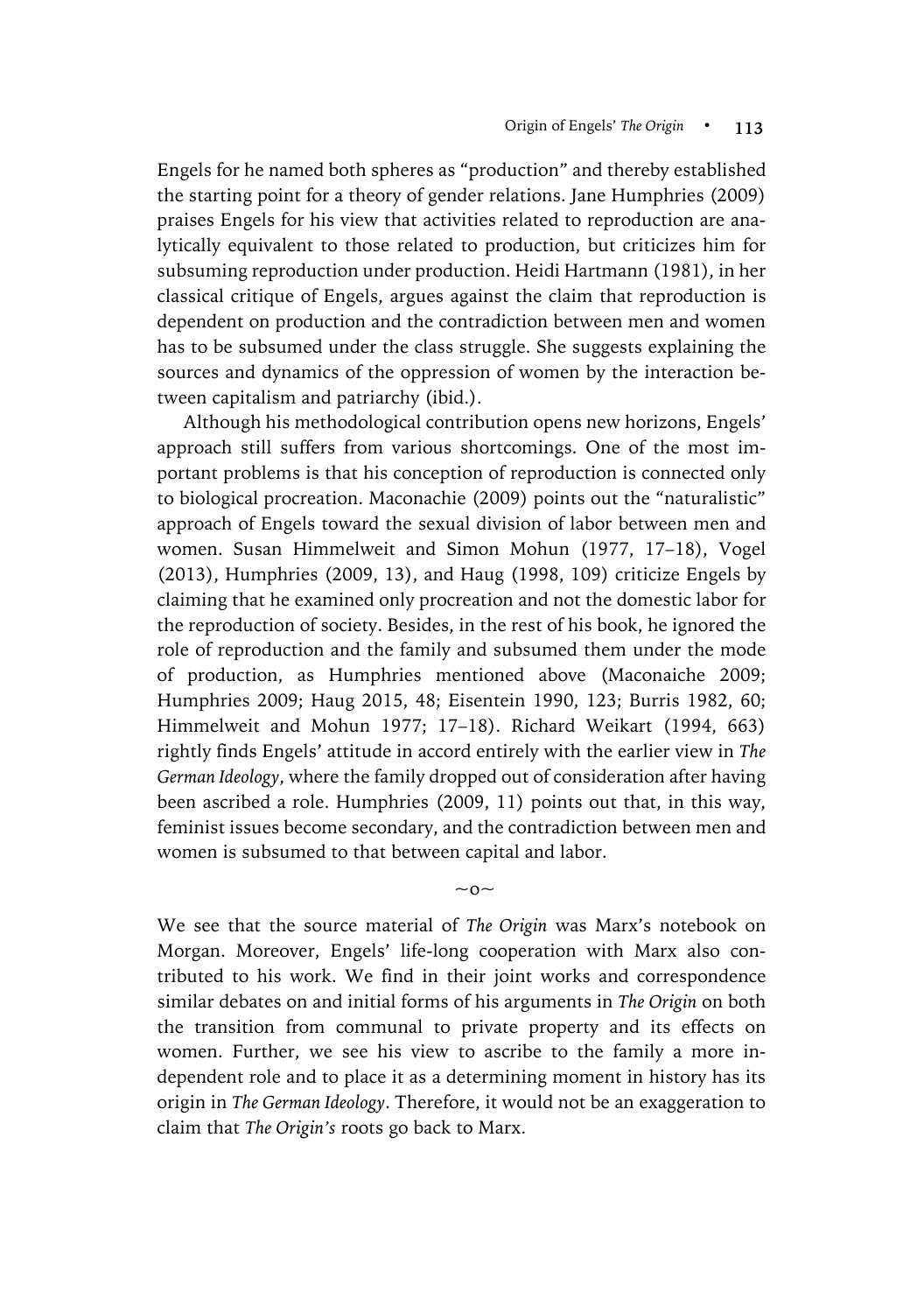Engels for he named both spheres as "production" and thereby established the starting point for a theory of gender relations. Jane Humphries (2009) praises Engels for his view that activities related to reproduction are analytically equivalent to those related to production, but criticizes him for subsuming reproduction under production. Heidi Hartmann (1981), in her classical critique of Engels, argues against the claim that reproduction is dependent on production and the contradiction between men and women has to be subsumed under the class struggle. She suggests explaining the sources and dynamics of the oppression of women by the interaction between capitalism and patriarchy (ibid.).

Although his methodological contribution opens new horizons, Engels' approach still suffers from various shortcomings. One of the most important problems is that his conception of reproduction is connected only to biological procreation. Maconachie (2009) points out the "naturalistic" approach of Engels toward the sexual division of labor between men and women. Susan Himmelweit and Simon Mohun (1977, 17–18), Vogel (2013), Humphries (2009, 13), and Haug (1998, 109) criticize Engels by claiming that he examined only procreation and not the domestic labor for the reproduction of society. Besides, in the rest of his book, he ignored the role of reproduction and the family and subsumed them under the mode of production, as Humphries mentioned above (Maconaiche 2009; Humphries 2009; Haug 2015, 48; Eisentein 1990, 123; Burris 1982, 60; Himmelweit and Mohun 1977; 17–18). Richard Weikart (1994, 663) rightly finds Engels' attitude in accord entirely with the earlier view in *The German Ideology*, where the family dropped out of consideration after having been ascribed a role. Humphries (2009, 11) points out that, in this way, feminist issues become secondary, and the contradiction between men and women is subsumed to that between capital and labor.

We see that the source material of *The Origin* was Marx's notebook on Morgan. Moreover, Engels' life-long cooperation with Marx also contributed to his work. We find in their joint works and correspondence similar debates on and initial forms of his arguments in *The Origin* on both the transition from communal to private property and its effects on women. Further, we see his view to ascribe to the family a more independent role and to place it as a determining moment in history has its origin in *The German Ideology*. Therefore, it would not be an exaggeration to claim that *The Origin's* roots go back to Marx.

 $\sim$  0 $\sim$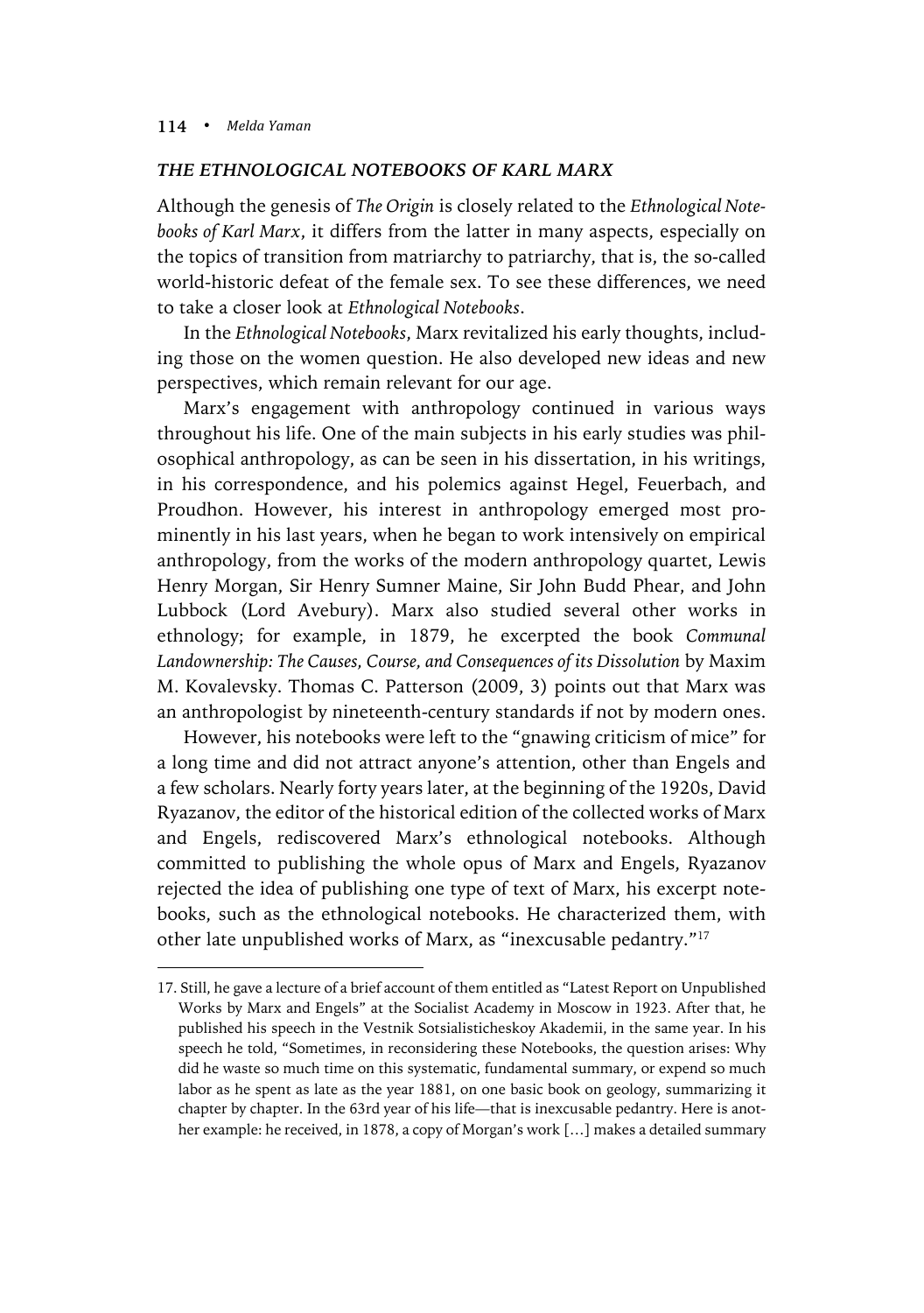$\overline{a}$ 

## *THE ETHNOLOGICAL NOTEBOOKS OF KARL MARX*

Although the genesis of *The Origin* is closely related to the *Ethnological Notebooks of Karl Marx*, it differs from the latter in many aspects, especially on the topics of transition from matriarchy to patriarchy, that is, the so-called world-historic defeat of the female sex. To see these differences, we need to take a closer look at *Ethnological Notebooks*.

In the *Ethnological Notebooks*, Marx revitalized his early thoughts, including those on the women question. He also developed new ideas and new perspectives, which remain relevant for our age.

Marx's engagement with anthropology continued in various ways throughout his life. One of the main subjects in his early studies was philosophical anthropology, as can be seen in his dissertation, in his writings, in his correspondence, and his polemics against Hegel, Feuerbach, and Proudhon. However, his interest in anthropology emerged most prominently in his last years, when he began to work intensively on empirical anthropology, from the works of the modern anthropology quartet, Lewis Henry Morgan, Sir Henry Sumner Maine, Sir John Budd Phear, and John Lubbock (Lord Avebury). Marx also studied several other works in ethnology; for example, in 1879, he excerpted the book *Communal Landownership: The Causes, Course, and Consequences of its Dissolution* by Maxim M. Kovalevsky. Thomas C. Patterson (2009, 3) points out that Marx was an anthropologist by nineteenth-century standards if not by modern ones.

However, his notebooks were left to the "gnawing criticism of mice" for a long time and did not attract anyone's attention, other than Engels and a few scholars. Nearly forty years later, at the beginning of the 1920s, David Ryazanov, the editor of the historical edition of the collected works of Marx and Engels, rediscovered Marx's ethnological notebooks. Although committed to publishing the whole opus of Marx and Engels, Ryazanov rejected the idea of publishing one type of text of Marx, his excerpt notebooks, such as the ethnological notebooks. He characterized them, with other late unpublished works of Marx, as "inexcusable pedantry."17

<sup>17.</sup> Still, he gave a lecture of a brief account of them entitled as "Latest Report on Unpublished Works by Marx and Engels" at the Socialist Academy in Moscow in 1923. After that, he published his speech in the Vestnik Sotsialisticheskoy Akademii, in the same year. In his speech he told, "Sometimes, in reconsidering these Notebooks, the question arises: Why did he waste so much time on this systematic, fundamental summary, or expend so much labor as he spent as late as the year 1881, on one basic book on geology, summarizing it chapter by chapter. In the 63rd year of his life—that is inexcusable pedantry. Here is another example: he received, in 1878, a copy of Morgan's work […] makes a detailed summary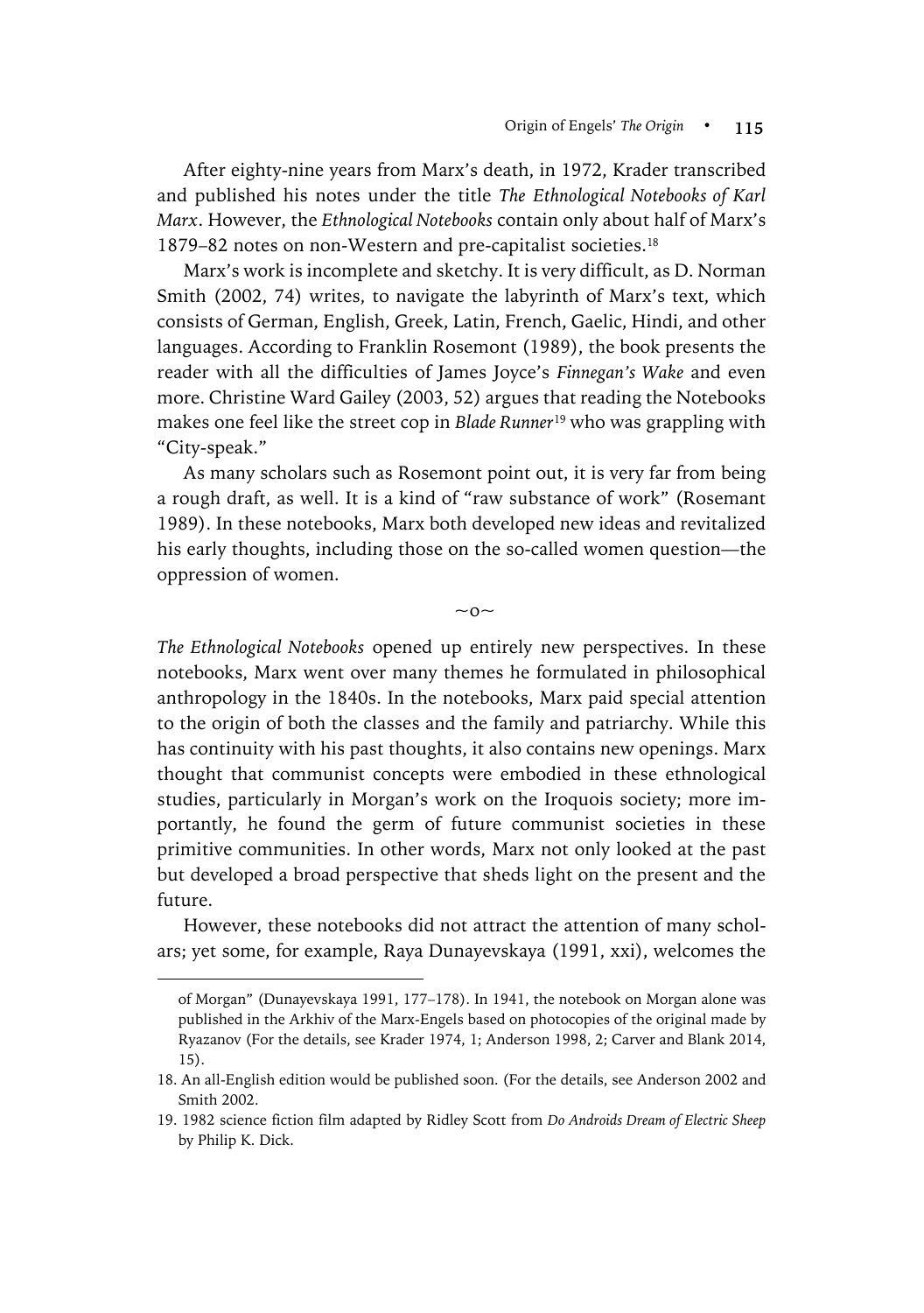After eighty-nine years from Marx's death, in 1972, Krader transcribed and published his notes under the title *The Ethnological Notebooks of Karl Marx*. However, the *Ethnological Notebooks* contain only about half of Marx's 1879–82 notes on non-Western and pre-capitalist societies.18

Marx's work is incomplete and sketchy. It is very difficult, as D. Norman Smith (2002, 74) writes, to navigate the labyrinth of Marx's text, which consists of German, English, Greek, Latin, French, Gaelic, Hindi, and other languages. According to Franklin Rosemont (1989), the book presents the reader with all the difficulties of James Joyce's *Finnegan's Wake* and even more. Christine Ward Gailey (2003, 52) argues that reading the Notebooks makes one feel like the street cop in *Blade Runner*<sup>19</sup> who was grappling with "City-speak."

As many scholars such as Rosemont point out, it is very far from being a rough draft, as well. It is a kind of "raw substance of work" (Rosemant 1989). In these notebooks, Marx both developed new ideas and revitalized his early thoughts, including those on the so-called women question—the oppression of women.

 $\sim$  0 $\sim$ 

*The Ethnological Notebooks* opened up entirely new perspectives. In these notebooks, Marx went over many themes he formulated in philosophical anthropology in the 1840s. In the notebooks, Marx paid special attention to the origin of both the classes and the family and patriarchy. While this has continuity with his past thoughts, it also contains new openings. Marx thought that communist concepts were embodied in these ethnological studies, particularly in Morgan's work on the Iroquois society; more importantly, he found the germ of future communist societies in these primitive communities. In other words, Marx not only looked at the past but developed a broad perspective that sheds light on the present and the future.

However, these notebooks did not attract the attention of many scholars; yet some, for example, Raya Dunayevskaya (1991, xxi), welcomes the

 $\overline{a}$ 

of Morgan" (Dunayevskaya 1991, 177–178). In 1941, the notebook on Morgan alone was published in the Arkhiv of the Marx-Engels based on photocopies of the original made by Ryazanov (For the details, see Krader 1974, 1; Anderson 1998, 2; Carver and Blank 2014, 15).

<sup>18.</sup> An all-English edition would be published soon. (For the details, see Anderson 2002 and Smith 2002.

<sup>19.</sup> 1982 science fiction film adapted by Ridley Scott from *Do Androids Dream of Electric Sheep* by Philip K. Dick.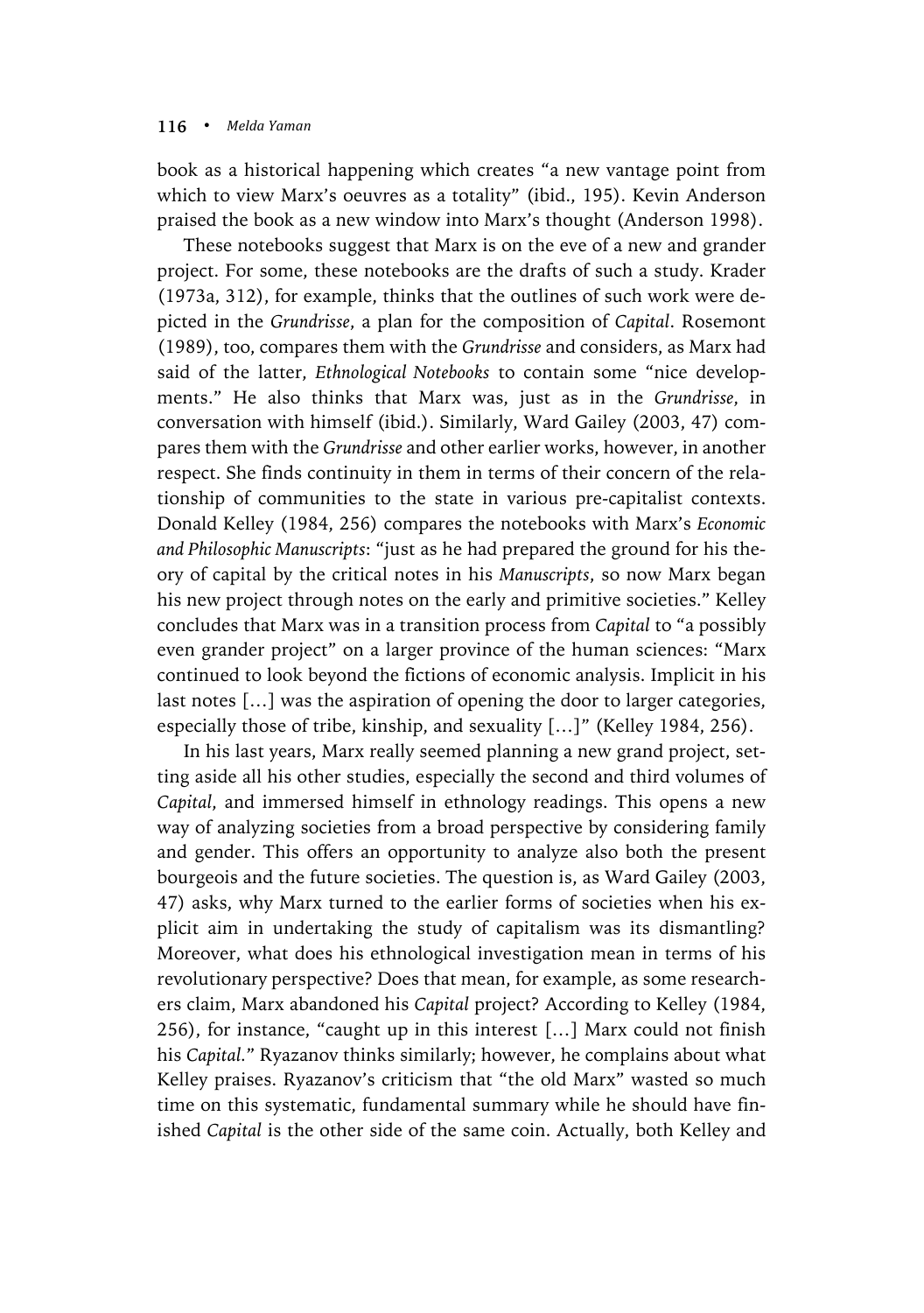book as a historical happening which creates "a new vantage point from which to view Marx's oeuvres as a totality" (ibid., 195). Kevin Anderson praised the book as a new window into Marx's thought (Anderson 1998).

These notebooks suggest that Marx is on the eve of a new and grander project. For some, these notebooks are the drafts of such a study. Krader (1973a, 312), for example, thinks that the outlines of such work were depicted in the *Grundrisse*, a plan for the composition of *Capital*. Rosemont (1989), too, compares them with the *Grundrisse* and considers, as Marx had said of the latter, *Ethnological Notebooks* to contain some "nice developments." He also thinks that Marx was, just as in the *Grundrisse*, in conversation with himself (ibid.). Similarly, Ward Gailey (2003, 47) compares them with the *Grundrisse* and other earlier works, however, in another respect. She finds continuity in them in terms of their concern of the relationship of communities to the state in various pre-capitalist contexts. Donald Kelley (1984, 256) compares the notebooks with Marx's *Economic and Philosophic Manuscripts*: "just as he had prepared the ground for his theory of capital by the critical notes in his *Manuscripts*, so now Marx began his new project through notes on the early and primitive societies." Kelley concludes that Marx was in a transition process from *Capital* to "a possibly even grander project" on a larger province of the human sciences: "Marx continued to look beyond the fictions of economic analysis. Implicit in his last notes […] was the aspiration of opening the door to larger categories, especially those of tribe, kinship, and sexuality […]" (Kelley 1984, 256).

In his last years, Marx really seemed planning a new grand project, setting aside all his other studies, especially the second and third volumes of *Capital*, and immersed himself in ethnology readings. This opens a new way of analyzing societies from a broad perspective by considering family and gender. This offers an opportunity to analyze also both the present bourgeois and the future societies. The question is, as Ward Gailey (2003, 47) asks, why Marx turned to the earlier forms of societies when his explicit aim in undertaking the study of capitalism was its dismantling? Moreover, what does his ethnological investigation mean in terms of his revolutionary perspective? Does that mean, for example, as some researchers claim, Marx abandoned his *Capital* project? According to Kelley (1984, 256), for instance, "caught up in this interest […] Marx could not finish his *Capital.*" Ryazanov thinks similarly; however, he complains about what Kelley praises. Ryazanov's criticism that "the old Marx" wasted so much time on this systematic, fundamental summary while he should have finished *Capital* is the other side of the same coin. Actually, both Kelley and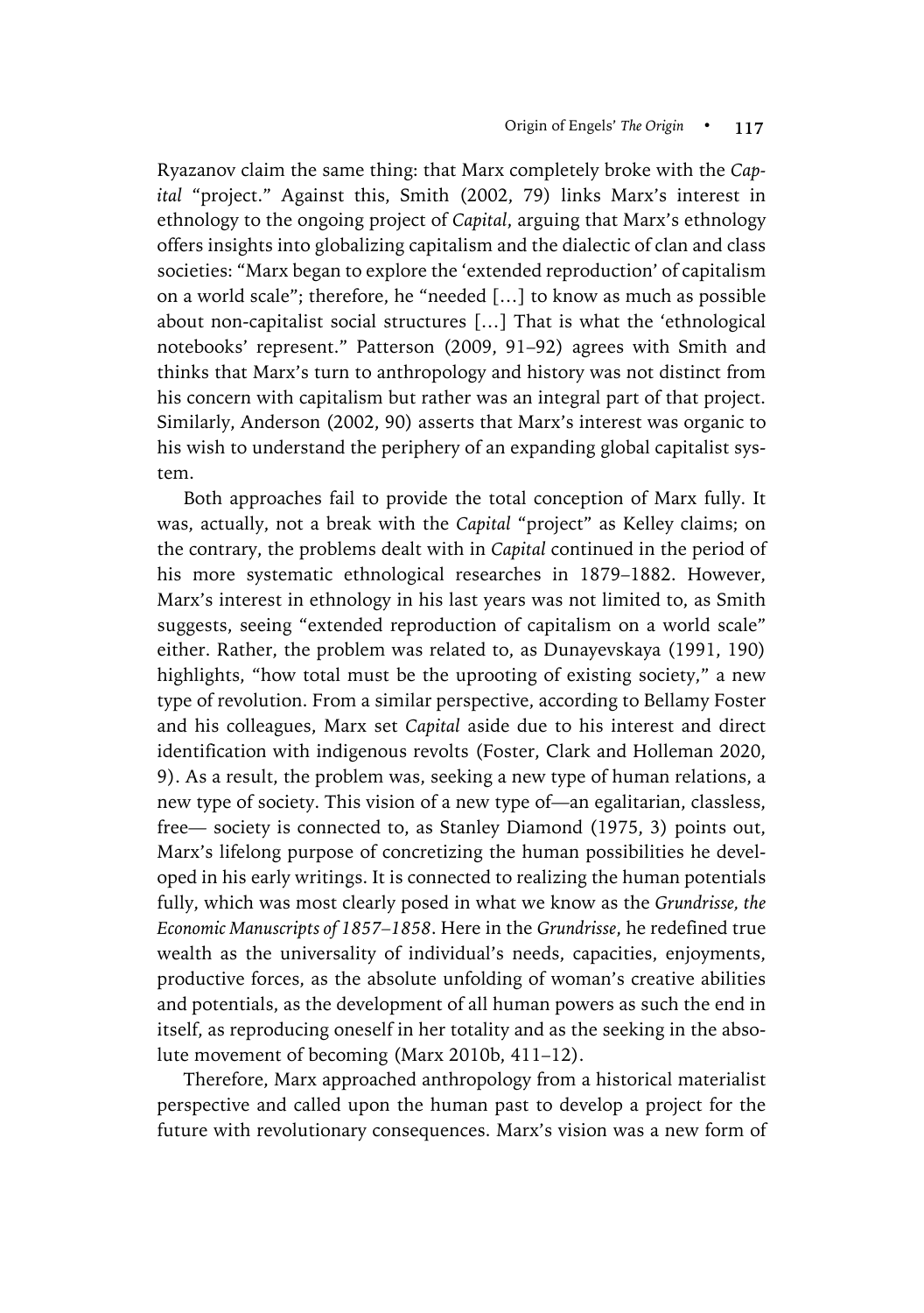Ryazanov claim the same thing: that Marx completely broke with the *Capital* "project." Against this, Smith (2002, 79) links Marx's interest in ethnology to the ongoing project of *Capital*, arguing that Marx's ethnology offers insights into globalizing capitalism and the dialectic of clan and class societies: "Marx began to explore the 'extended reproduction' of capitalism on a world scale"; therefore, he "needed […] to know as much as possible about non-capitalist social structures […] That is what the 'ethnological notebooks' represent." Patterson (2009, 91–92) agrees with Smith and thinks that Marx's turn to anthropology and history was not distinct from his concern with capitalism but rather was an integral part of that project. Similarly, Anderson (2002, 90) asserts that Marx's interest was organic to his wish to understand the periphery of an expanding global capitalist system.

Both approaches fail to provide the total conception of Marx fully. It was, actually, not a break with the *Capital* "project" as Kelley claims; on the contrary, the problems dealt with in *Capital* continued in the period of his more systematic ethnological researches in 1879–1882. However, Marx's interest in ethnology in his last years was not limited to, as Smith suggests, seeing "extended reproduction of capitalism on a world scale" either. Rather, the problem was related to, as Dunayevskaya (1991, 190) highlights, "how total must be the uprooting of existing society," a new type of revolution. From a similar perspective, according to Bellamy Foster and his colleagues, Marx set *Capital* aside due to his interest and direct identification with indigenous revolts (Foster, Clark and Holleman 2020, 9). As a result, the problem was, seeking a new type of human relations, a new type of society. This vision of a new type of—an egalitarian, classless, free— society is connected to, as Stanley Diamond (1975, 3) points out, Marx's lifelong purpose of concretizing the human possibilities he developed in his early writings. It is connected to realizing the human potentials fully, which was most clearly posed in what we know as the *Grundrisse, the Economic Manuscripts of 1857–1858*. Here in the *Grundrisse*, he redefined true wealth as the universality of individual's needs, capacities, enjoyments, productive forces, as the absolute unfolding of woman's creative abilities and potentials, as the development of all human powers as such the end in itself, as reproducing oneself in her totality and as the seeking in the absolute movement of becoming (Marx 2010b, 411–12).

Therefore, Marx approached anthropology from a historical materialist perspective and called upon the human past to develop a project for the future with revolutionary consequences. Marx's vision was a new form of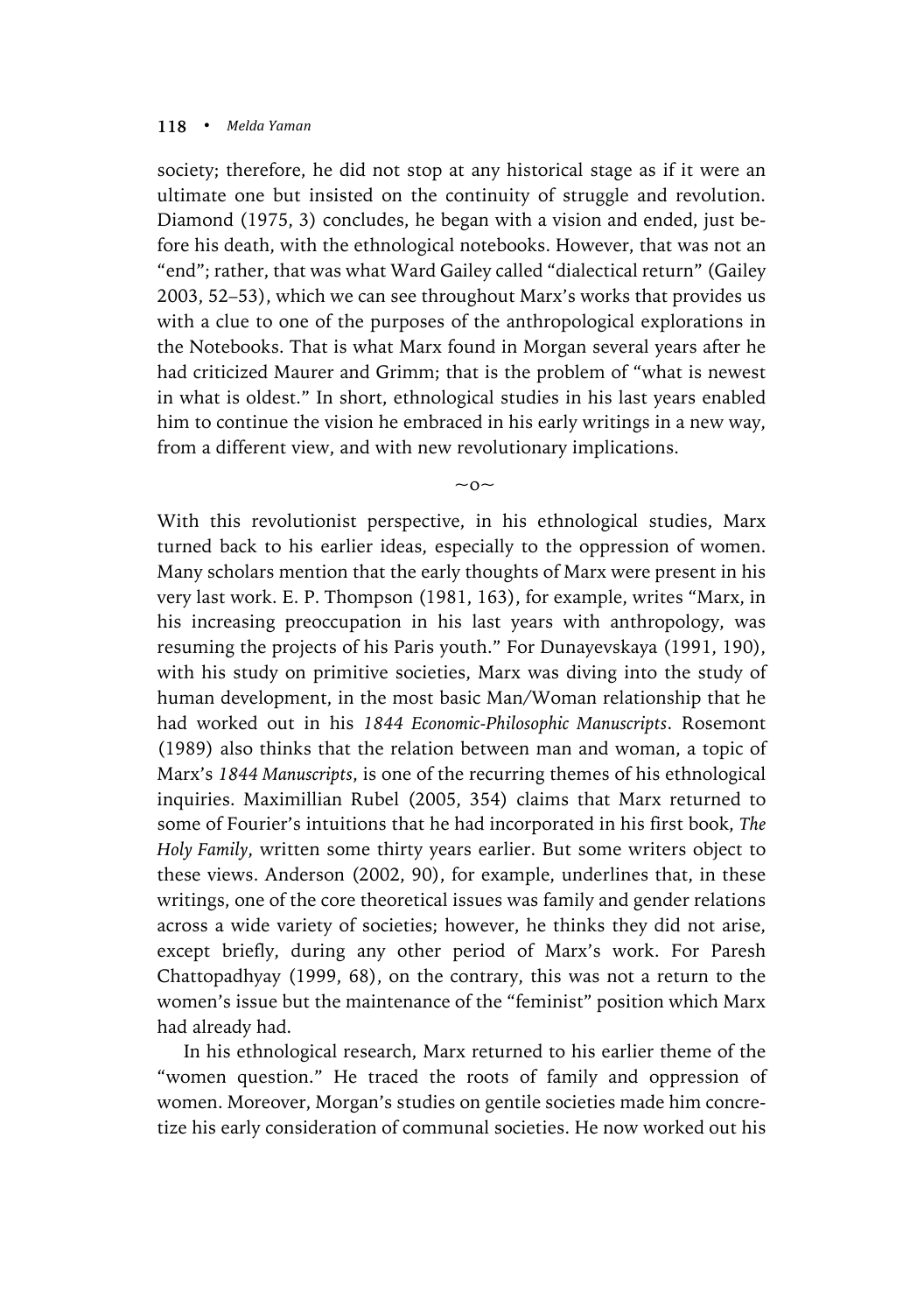society; therefore, he did not stop at any historical stage as if it were an ultimate one but insisted on the continuity of struggle and revolution. Diamond (1975, 3) concludes, he began with a vision and ended, just before his death, with the ethnological notebooks. However, that was not an "end"; rather, that was what Ward Gailey called "dialectical return" (Gailey 2003, 52–53), which we can see throughout Marx's works that provides us with a clue to one of the purposes of the anthropological explorations in the Notebooks. That is what Marx found in Morgan several years after he had criticized Maurer and Grimm; that is the problem of "what is newest in what is oldest." In short, ethnological studies in his last years enabled him to continue the vision he embraced in his early writings in a new way, from a different view, and with new revolutionary implications.

 $\sim$  0 $\sim$ 

With this revolutionist perspective, in his ethnological studies, Marx turned back to his earlier ideas, especially to the oppression of women. Many scholars mention that the early thoughts of Marx were present in his very last work. E. P. Thompson (1981, 163), for example, writes "Marx, in his increasing preoccupation in his last years with anthropology, was resuming the projects of his Paris youth." For Dunayevskaya (1991, 190), with his study on primitive societies, Marx was diving into the study of human development, in the most basic Man/Woman relationship that he had worked out in his *1844 Economic-Philosophic Manuscripts*. Rosemont (1989) also thinks that the relation between man and woman, a topic of Marx's *1844 Manuscripts*, is one of the recurring themes of his ethnological inquiries. Maximillian Rubel (2005, 354) claims that Marx returned to some of Fourier's intuitions that he had incorporated in his first book, *The Holy Family*, written some thirty years earlier. But some writers object to these views. Anderson (2002, 90), for example, underlines that, in these writings, one of the core theoretical issues was family and gender relations across a wide variety of societies; however, he thinks they did not arise, except briefly, during any other period of Marx's work. For Paresh Chattopadhyay (1999, 68), on the contrary, this was not a return to the women's issue but the maintenance of the "feminist" position which Marx had already had.

In his ethnological research, Marx returned to his earlier theme of the "women question." He traced the roots of family and oppression of women. Moreover, Morgan's studies on gentile societies made him concretize his early consideration of communal societies. He now worked out his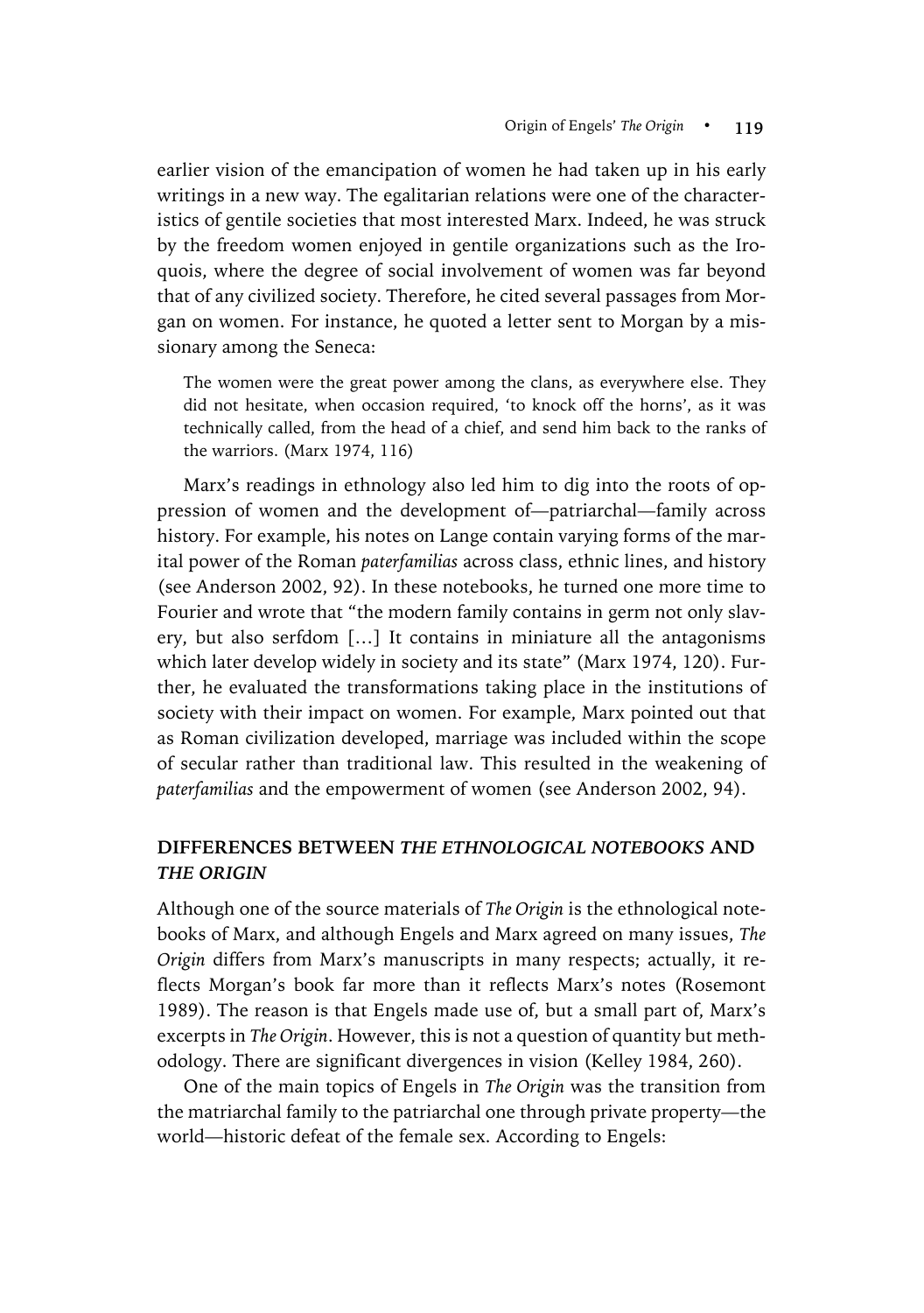earlier vision of the emancipation of women he had taken up in his early writings in a new way. The egalitarian relations were one of the characteristics of gentile societies that most interested Marx. Indeed, he was struck by the freedom women enjoyed in gentile organizations such as the Iroquois, where the degree of social involvement of women was far beyond that of any civilized society. Therefore, he cited several passages from Morgan on women. For instance, he quoted a letter sent to Morgan by a missionary among the Seneca:

The women were the great power among the clans, as everywhere else. They did not hesitate, when occasion required, 'to knock off the horns', as it was technically called, from the head of a chief, and send him back to the ranks of the warriors. (Marx 1974, 116)

Marx's readings in ethnology also led him to dig into the roots of oppression of women and the development of—patriarchal—family across history. For example, his notes on Lange contain varying forms of the marital power of the Roman *paterfamilias* across class, ethnic lines, and history (see Anderson 2002, 92). In these notebooks, he turned one more time to Fourier and wrote that "the modern family contains in germ not only slavery, but also serfdom […] It contains in miniature all the antagonisms which later develop widely in society and its state" (Marx 1974, 120). Further, he evaluated the transformations taking place in the institutions of society with their impact on women. For example, Marx pointed out that as Roman civilization developed, marriage was included within the scope of secular rather than traditional law. This resulted in the weakening of *paterfamilias* and the empowerment of women (see Anderson 2002, 94).

# **DIFFERENCES BETWEEN** *THE ETHNOLOGICAL NOTEBOOKS* **AND**  *THE ORIGIN*

Although one of the source materials of *The Origin* is the ethnological notebooks of Marx, and although Engels and Marx agreed on many issues, *The Origin* differs from Marx's manuscripts in many respects; actually, it reflects Morgan's book far more than it reflects Marx's notes (Rosemont 1989). The reason is that Engels made use of, but a small part of, Marx's excerpts in *The Origin*. However, this is not a question of quantity but methodology. There are significant divergences in vision (Kelley 1984, 260).

One of the main topics of Engels in *The Origin* was the transition from the matriarchal family to the patriarchal one through private property—the world—historic defeat of the female sex. According to Engels: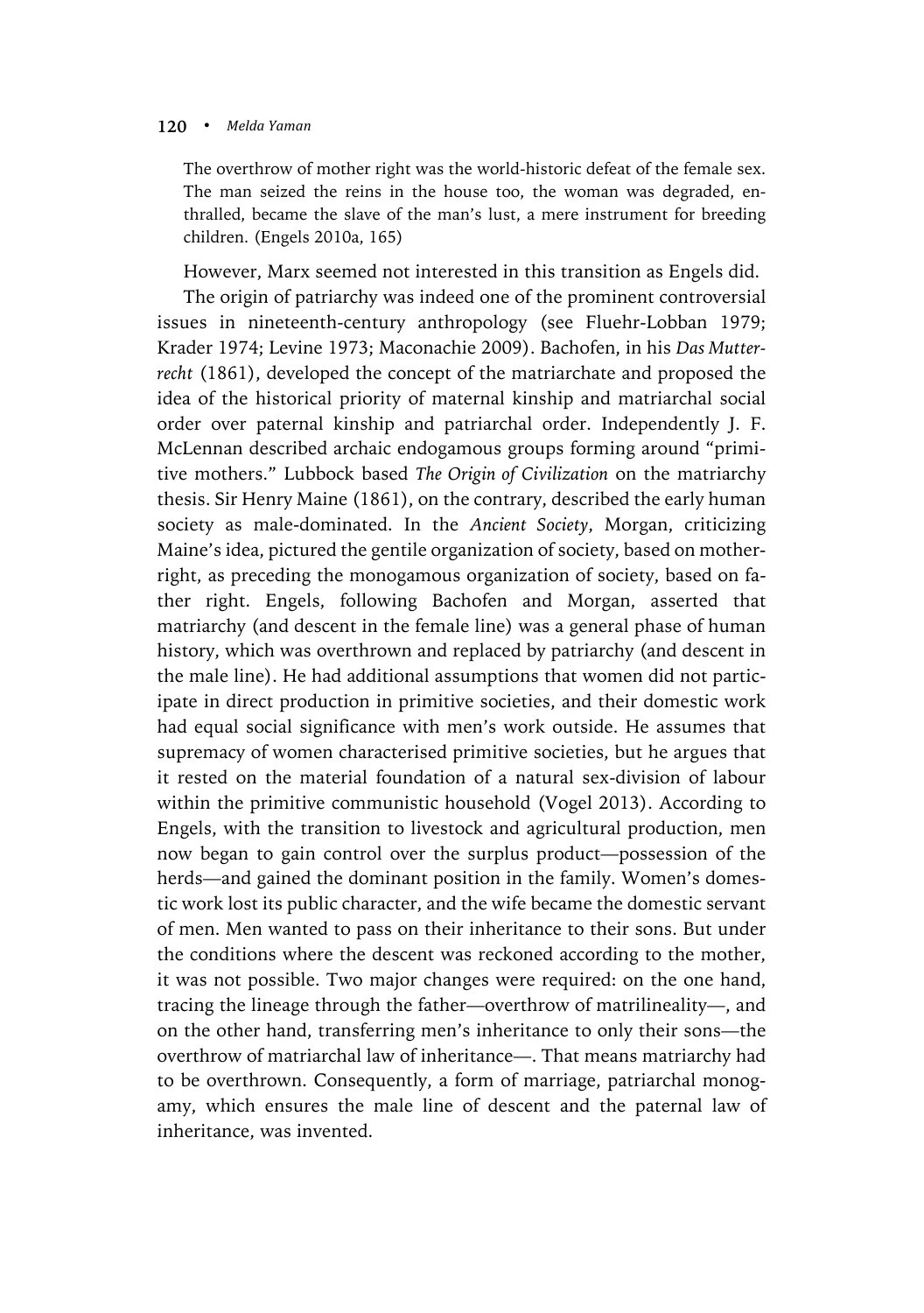The overthrow of mother right was the world-historic defeat of the female sex. The man seized the reins in the house too, the woman was degraded, enthralled, became the slave of the man's lust, a mere instrument for breeding children. (Engels 2010a, 165)

However, Marx seemed not interested in this transition as Engels did.

The origin of patriarchy was indeed one of the prominent controversial issues in nineteenth-century anthropology (see Fluehr-Lobban 1979; Krader 1974; Levine 1973; Maconachie 2009). Bachofen, in his *Das Mutterrecht* (1861), developed the concept of the matriarchate and proposed the idea of the historical priority of maternal kinship and matriarchal social order over paternal kinship and patriarchal order. Independently J. F. McLennan described archaic endogamous groups forming around "primitive mothers." Lubbock based *The Origin of Civilization* on the matriarchy thesis. Sir Henry Maine (1861), on the contrary, described the early human society as male-dominated. In the *Ancient Society*, Morgan, criticizing Maine's idea, pictured the gentile organization of society, based on motherright, as preceding the monogamous organization of society, based on father right. Engels, following Bachofen and Morgan, asserted that matriarchy (and descent in the female line) was a general phase of human history, which was overthrown and replaced by patriarchy (and descent in the male line). He had additional assumptions that women did not participate in direct production in primitive societies, and their domestic work had equal social significance with men's work outside. He assumes that supremacy of women characterised primitive societies, but he argues that it rested on the material foundation of a natural sex-division of labour within the primitive communistic household (Vogel 2013). According to Engels, with the transition to livestock and agricultural production, men now began to gain control over the surplus product—possession of the herds—and gained the dominant position in the family. Women's domestic work lost its public character, and the wife became the domestic servant of men. Men wanted to pass on their inheritance to their sons. But under the conditions where the descent was reckoned according to the mother, it was not possible. Two major changes were required: on the one hand, tracing the lineage through the father—overthrow of matrilineality—, and on the other hand, transferring men's inheritance to only their sons—the overthrow of matriarchal law of inheritance—. That means matriarchy had to be overthrown. Consequently, a form of marriage, patriarchal monogamy, which ensures the male line of descent and the paternal law of inheritance, was invented.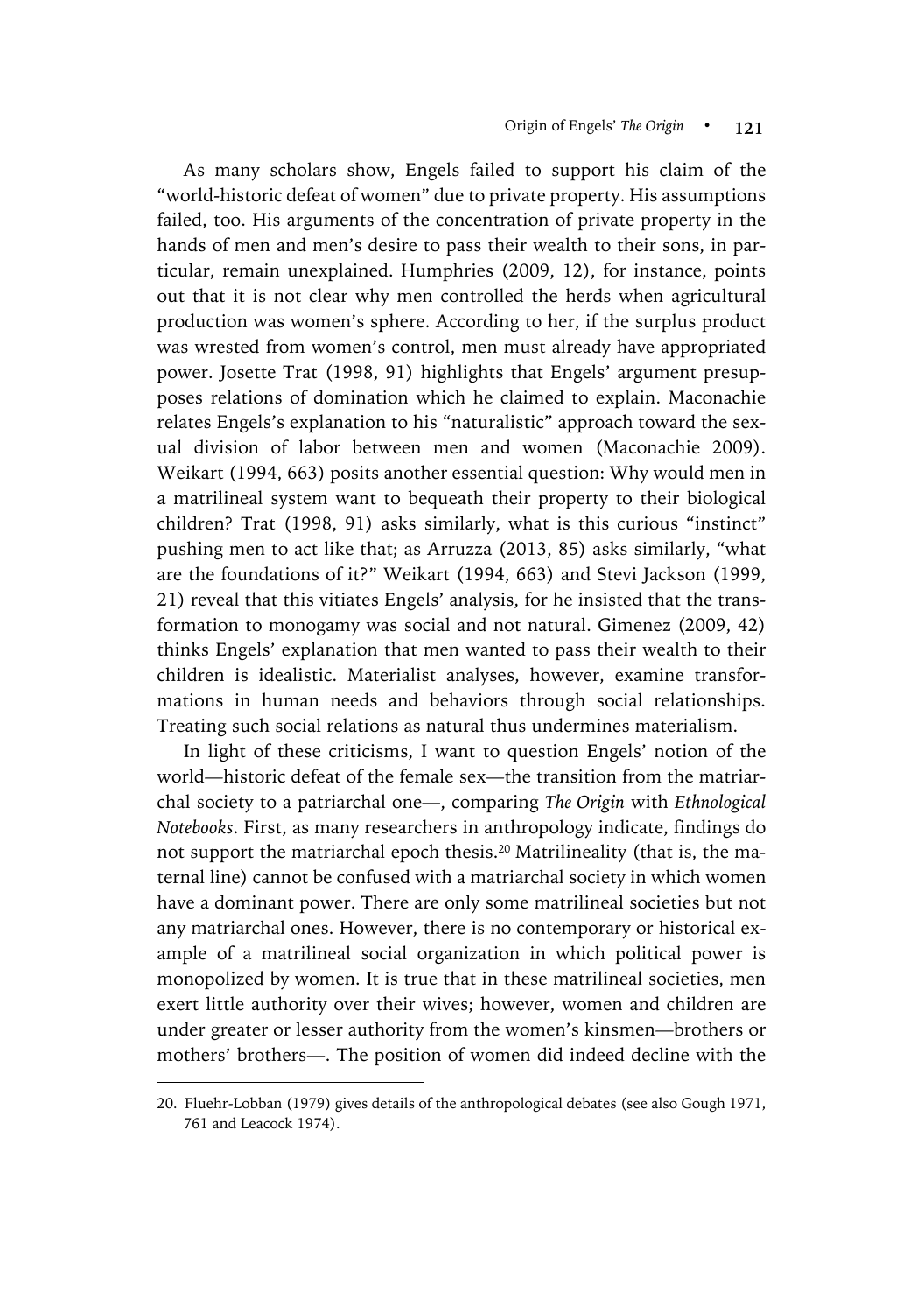As many scholars show, Engels failed to support his claim of the "world-historic defeat of women" due to private property. His assumptions failed, too. His arguments of the concentration of private property in the hands of men and men's desire to pass their wealth to their sons, in particular, remain unexplained. Humphries (2009, 12), for instance, points out that it is not clear why men controlled the herds when agricultural production was women's sphere. According to her, if the surplus product was wrested from women's control, men must already have appropriated power. Josette Trat (1998, 91) highlights that Engels' argument presupposes relations of domination which he claimed to explain. Maconachie relates Engels's explanation to his "naturalistic" approach toward the sexual division of labor between men and women (Maconachie 2009). Weikart (1994, 663) posits another essential question: Why would men in a matrilineal system want to bequeath their property to their biological children? Trat (1998, 91) asks similarly, what is this curious "instinct" pushing men to act like that; as Arruzza (2013, 85) asks similarly, "what are the foundations of it?" Weikart (1994, 663) and Stevi Jackson (1999, 21) reveal that this vitiates Engels' analysis, for he insisted that the transformation to monogamy was social and not natural. Gimenez (2009, 42) thinks Engels' explanation that men wanted to pass their wealth to their children is idealistic. Materialist analyses, however, examine transformations in human needs and behaviors through social relationships. Treating such social relations as natural thus undermines materialism.

In light of these criticisms, I want to question Engels' notion of the world—historic defeat of the female sex—the transition from the matriarchal society to a patriarchal one—, comparing *The Origin* with *Ethnological Notebooks*. First, as many researchers in anthropology indicate, findings do not support the matriarchal epoch thesis.<sup>20</sup> Matrilineality (that is, the maternal line) cannot be confused with a matriarchal society in which women have a dominant power. There are only some matrilineal societies but not any matriarchal ones. However, there is no contemporary or historical example of a matrilineal social organization in which political power is monopolized by women. It is true that in these matrilineal societies, men exert little authority over their wives; however, women and children are under greater or lesser authority from the women's kinsmen—brothers or mothers' brothers—. The position of women did indeed decline with the

 $\overline{a}$ 

<sup>20.</sup> Fluehr-Lobban (1979) gives details of the anthropological debates (see also Gough 1971, 761 and Leacock 1974).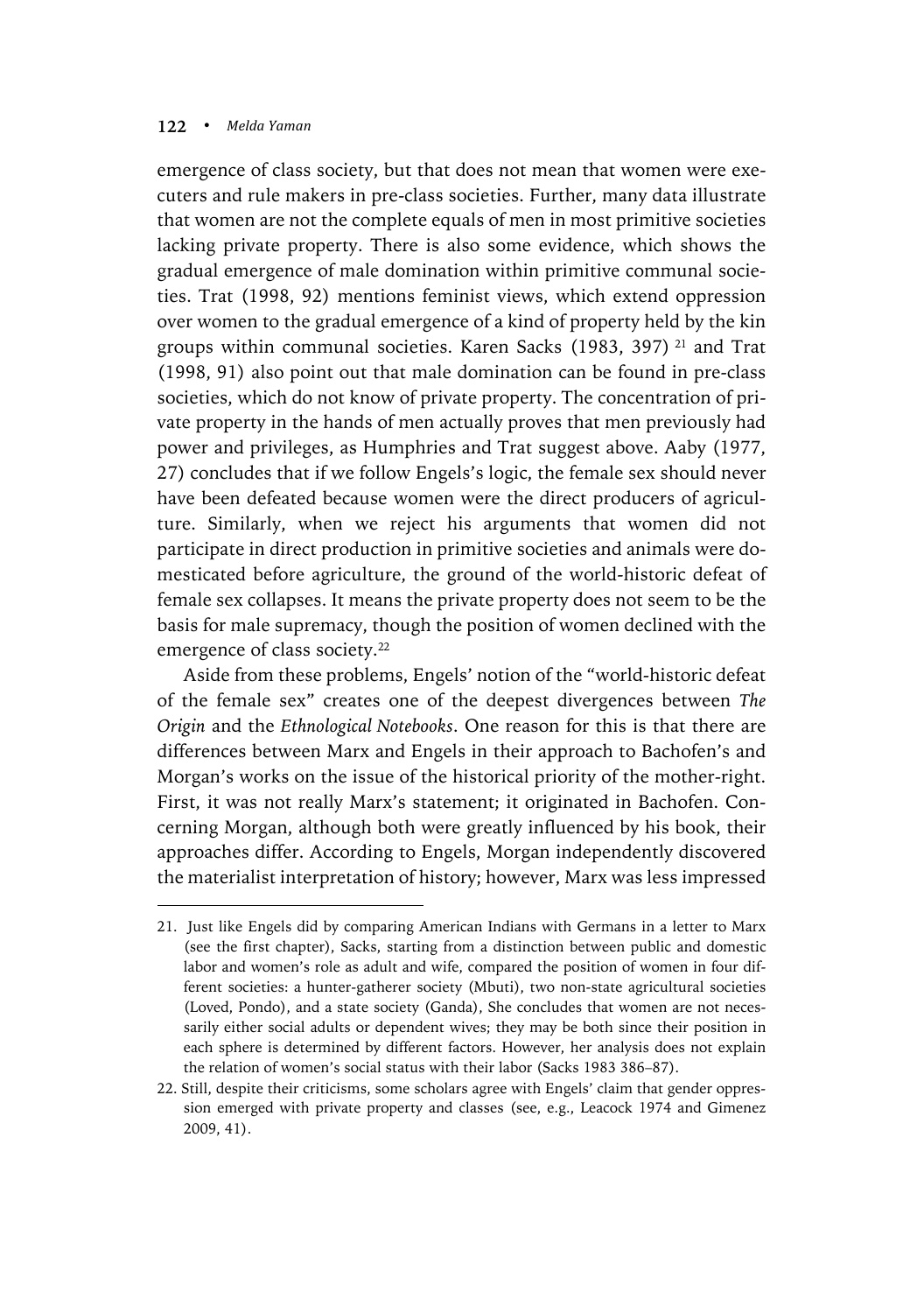$\overline{a}$ 

emergence of class society, but that does not mean that women were executers and rule makers in pre-class societies. Further, many data illustrate that women are not the complete equals of men in most primitive societies lacking private property. There is also some evidence, which shows the gradual emergence of male domination within primitive communal societies. Trat (1998, 92) mentions feminist views, which extend oppression over women to the gradual emergence of a kind of property held by the kin groups within communal societies. Karen Sacks (1983, 397) <sup>21</sup> and Trat (1998, 91) also point out that male domination can be found in pre-class societies, which do not know of private property. The concentration of private property in the hands of men actually proves that men previously had power and privileges, as Humphries and Trat suggest above. Aaby (1977, 27) concludes that if we follow Engels's logic, the female sex should never have been defeated because women were the direct producers of agriculture. Similarly, when we reject his arguments that women did not participate in direct production in primitive societies and animals were domesticated before agriculture, the ground of the world-historic defeat of female sex collapses. It means the private property does not seem to be the basis for male supremacy, though the position of women declined with the emergence of class society.<sup>22</sup>

Aside from these problems, Engels' notion of the "world-historic defeat of the female sex" creates one of the deepest divergences between *The Origin* and the *Ethnological Notebooks*. One reason for this is that there are differences between Marx and Engels in their approach to Bachofen's and Morgan's works on the issue of the historical priority of the mother-right. First, it was not really Marx's statement; it originated in Bachofen. Concerning Morgan, although both were greatly influenced by his book, their approaches differ. According to Engels, Morgan independently discovered the materialist interpretation of history; however, Marx was less impressed

<sup>21.</sup> Just like Engels did by comparing American Indians with Germans in a letter to Marx (see the first chapter), Sacks, starting from a distinction between public and domestic labor and women's role as adult and wife, compared the position of women in four different societies: a hunter-gatherer society (Mbuti), two non-state agricultural societies (Loved, Pondo), and a state society (Ganda), She concludes that women are not necessarily either social adults or dependent wives; they may be both since their position in each sphere is determined by different factors. However, her analysis does not explain the relation of women's social status with their labor (Sacks 1983 386–87).

<sup>22.</sup> Still, despite their criticisms, some scholars agree with Engels' claim that gender oppression emerged with private property and classes (see, e.g., Leacock 1974 and Gimenez 2009, 41).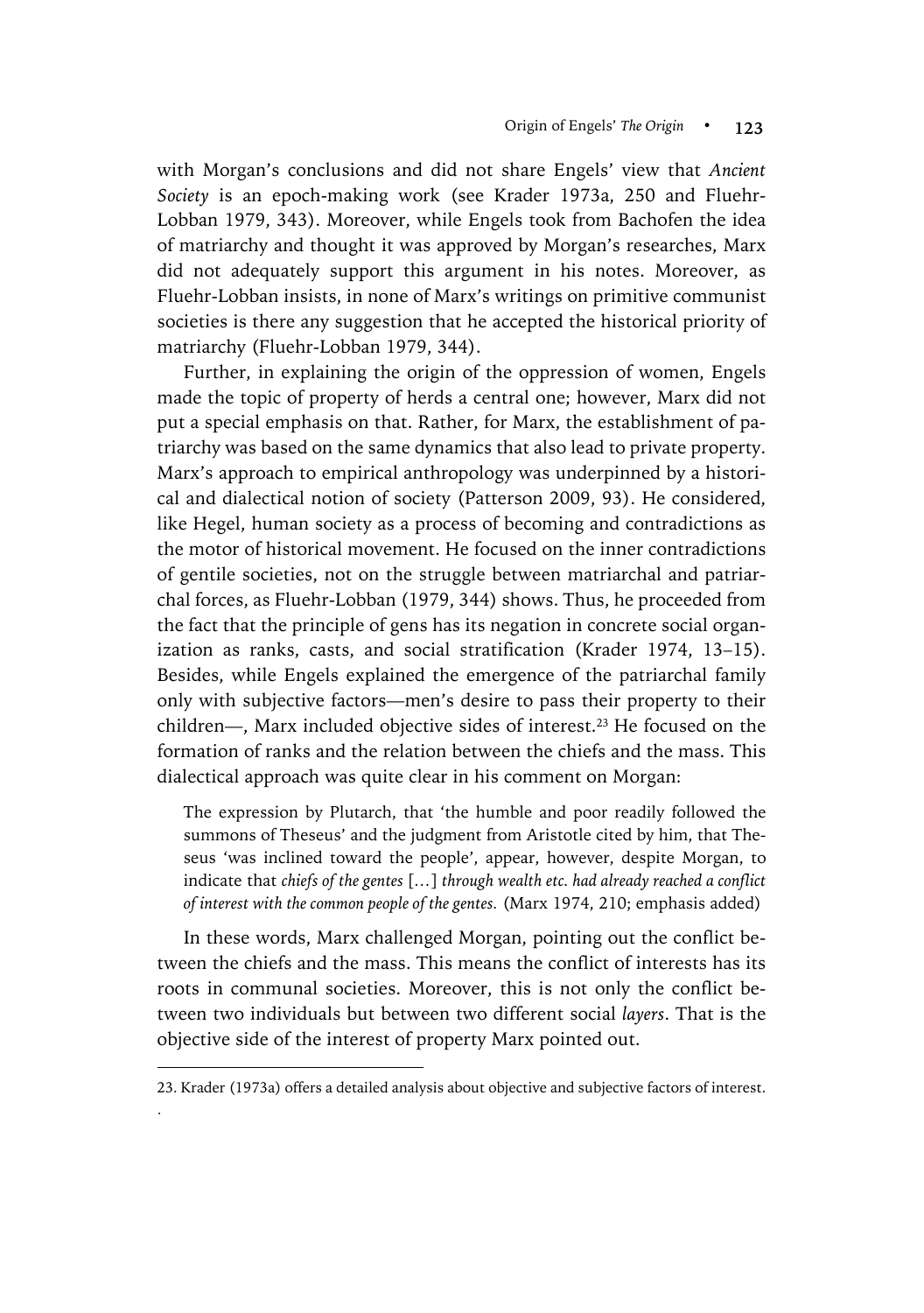with Morgan's conclusions and did not share Engels' view that *Ancient Society* is an epoch-making work (see Krader 1973a, 250 and Fluehr-Lobban 1979, 343). Moreover, while Engels took from Bachofen the idea of matriarchy and thought it was approved by Morgan's researches, Marx did not adequately support this argument in his notes. Moreover, as Fluehr-Lobban insists, in none of Marx's writings on primitive communist societies is there any suggestion that he accepted the historical priority of matriarchy (Fluehr-Lobban 1979, 344).

Further, in explaining the origin of the oppression of women, Engels made the topic of property of herds a central one; however, Marx did not put a special emphasis on that. Rather, for Marx, the establishment of patriarchy was based on the same dynamics that also lead to private property. Marx's approach to empirical anthropology was underpinned by a historical and dialectical notion of society (Patterson 2009, 93). He considered, like Hegel, human society as a process of becoming and contradictions as the motor of historical movement. He focused on the inner contradictions of gentile societies, not on the struggle between matriarchal and patriarchal forces, as Fluehr-Lobban (1979, 344) shows. Thus, he proceeded from the fact that the principle of gens has its negation in concrete social organization as ranks, casts, and social stratification (Krader 1974, 13–15). Besides, while Engels explained the emergence of the patriarchal family only with subjective factors—men's desire to pass their property to their children—, Marx included objective sides of interest.<sup>23</sup> He focused on the formation of ranks and the relation between the chiefs and the mass. This dialectical approach was quite clear in his comment on Morgan:

The expression by Plutarch, that 'the humble and poor readily followed the summons of Theseus' and the judgment from Aristotle cited by him, that Theseus 'was inclined toward the people', appear, however, despite Morgan, to indicate that *chiefs of the gentes* [*…*] *through wealth etc. had already reached a conflict of interest with the common people of the gentes.* (Marx 1974, 210; emphasis added)

In these words, Marx challenged Morgan, pointing out the conflict between the chiefs and the mass. This means the conflict of interests has its roots in communal societies. Moreover, this is not only the conflict between two individuals but between two different social *layers*. That is the objective side of the interest of property Marx pointed out.

 $\overline{a}$ 

. 

<sup>23.</sup> Krader (1973a) offers a detailed analysis about objective and subjective factors of interest.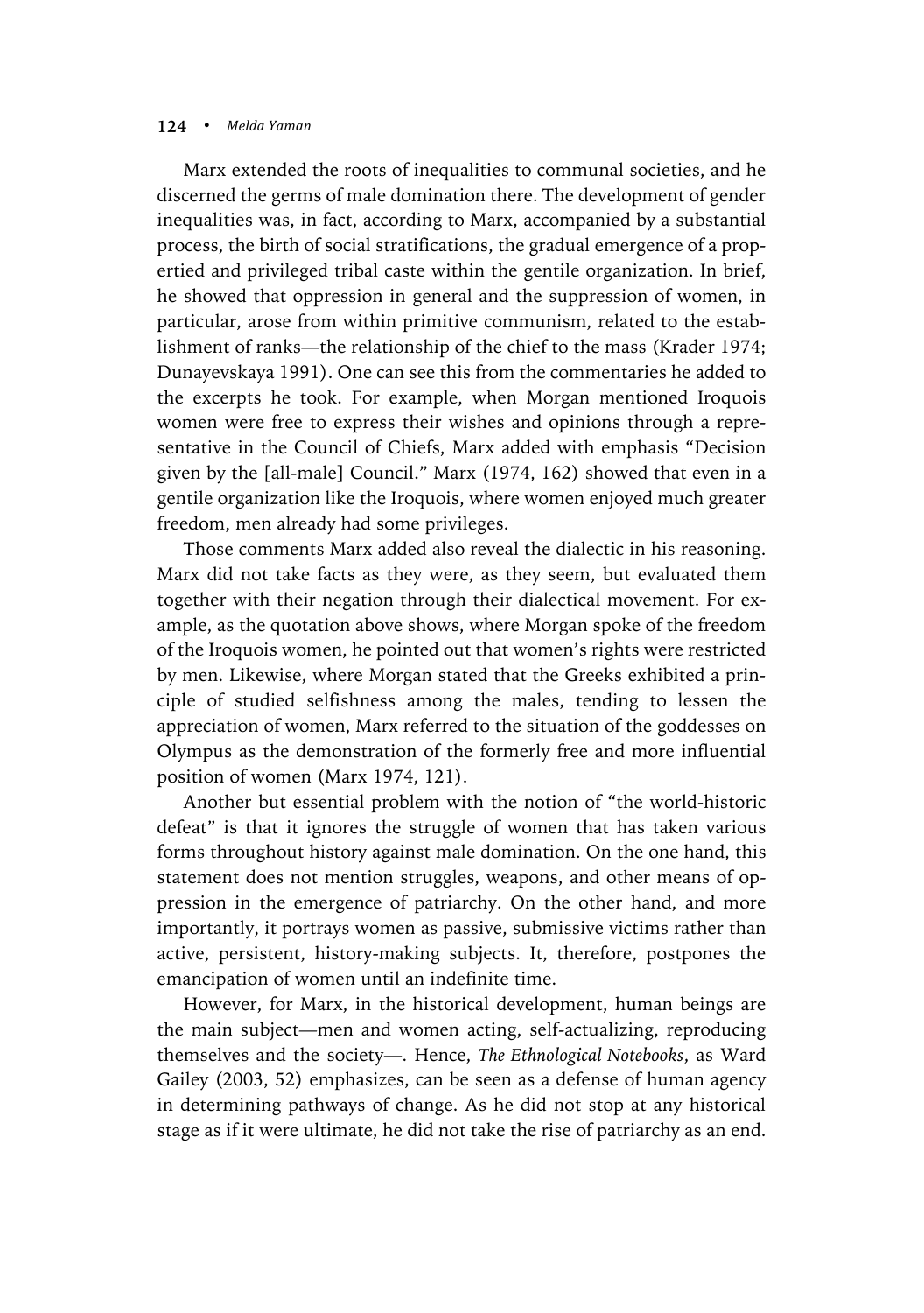Marx extended the roots of inequalities to communal societies, and he discerned the germs of male domination there. The development of gender inequalities was, in fact, according to Marx, accompanied by a substantial process, the birth of social stratifications, the gradual emergence of a propertied and privileged tribal caste within the gentile organization. In brief, he showed that oppression in general and the suppression of women, in particular, arose from within primitive communism, related to the establishment of ranks—the relationship of the chief to the mass (Krader 1974; Dunayevskaya 1991). One can see this from the commentaries he added to the excerpts he took. For example, when Morgan mentioned Iroquois women were free to express their wishes and opinions through a representative in the Council of Chiefs, Marx added with emphasis "Decision given by the [all-male] Council." Marx (1974, 162) showed that even in a gentile organization like the Iroquois, where women enjoyed much greater freedom, men already had some privileges.

Those comments Marx added also reveal the dialectic in his reasoning. Marx did not take facts as they were, as they seem, but evaluated them together with their negation through their dialectical movement. For example, as the quotation above shows, where Morgan spoke of the freedom of the Iroquois women, he pointed out that women's rights were restricted by men. Likewise, where Morgan stated that the Greeks exhibited a principle of studied selfishness among the males, tending to lessen the appreciation of women, Marx referred to the situation of the goddesses on Olympus as the demonstration of the formerly free and more influential position of women (Marx 1974, 121).

Another but essential problem with the notion of "the world-historic defeat" is that it ignores the struggle of women that has taken various forms throughout history against male domination. On the one hand, this statement does not mention struggles, weapons, and other means of oppression in the emergence of patriarchy. On the other hand, and more importantly, it portrays women as passive, submissive victims rather than active, persistent, history-making subjects. It, therefore, postpones the emancipation of women until an indefinite time.

However, for Marx, in the historical development, human beings are the main subject—men and women acting, self-actualizing, reproducing themselves and the society—. Hence, *The Ethnological Notebooks*, as Ward Gailey (2003, 52) emphasizes, can be seen as a defense of human agency in determining pathways of change. As he did not stop at any historical stage as if it were ultimate, he did not take the rise of patriarchy as an end.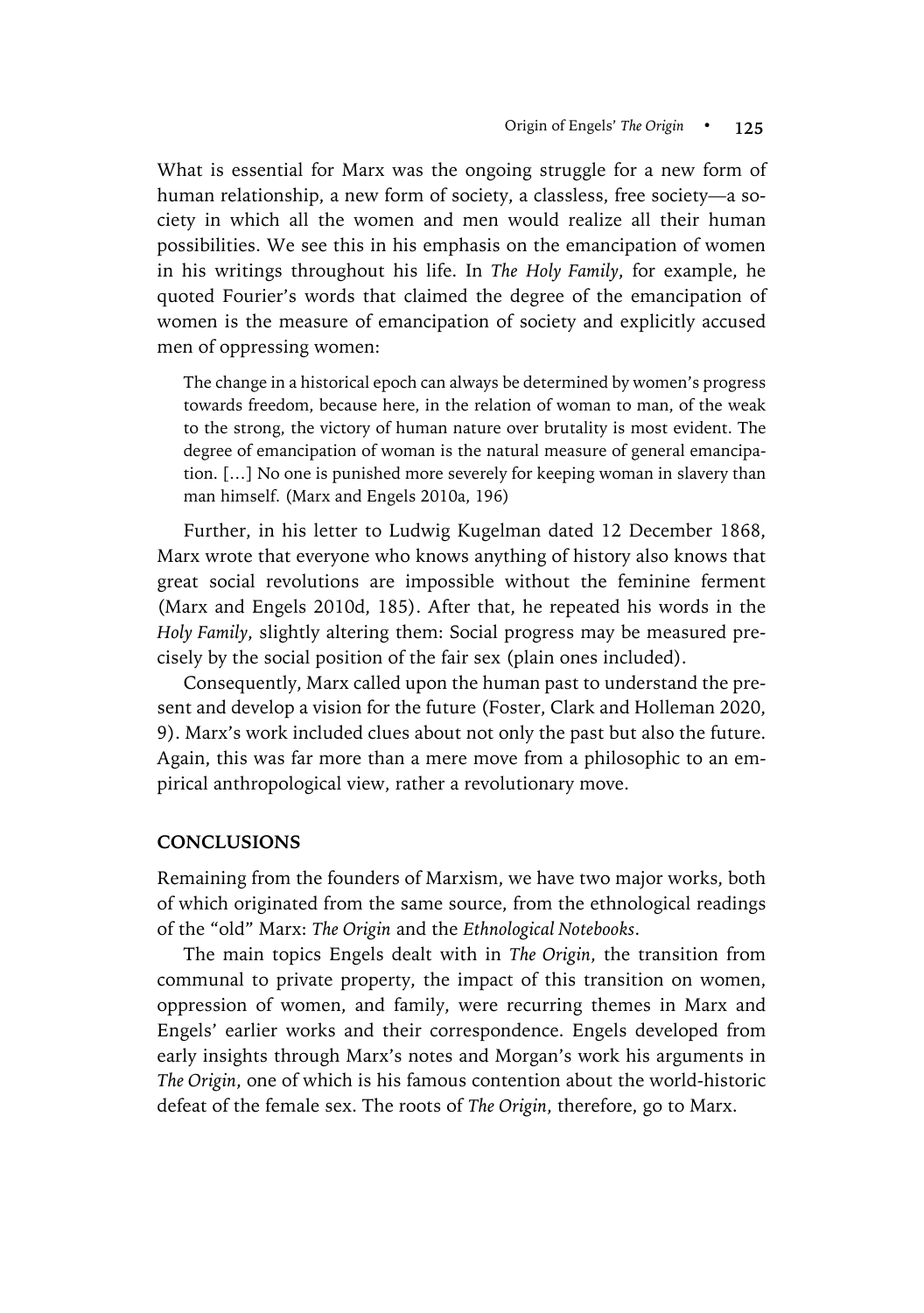What is essential for Marx was the ongoing struggle for a new form of human relationship, a new form of society, a classless, free society—a society in which all the women and men would realize all their human possibilities. We see this in his emphasis on the emancipation of women in his writings throughout his life. In *The Holy Family*, for example, he quoted Fourier's words that claimed the degree of the emancipation of women is the measure of emancipation of society and explicitly accused men of oppressing women:

The change in a historical epoch can always be determined by women's progress towards freedom, because here, in the relation of woman to man, of the weak to the strong, the victory of human nature over brutality is most evident. The degree of emancipation of woman is the natural measure of general emancipation. […] No one is punished more severely for keeping woman in slavery than man himself. (Marx and Engels 2010a, 196)

Further, in his letter to Ludwig Kugelman dated 12 December 1868, Marx wrote that everyone who knows anything of history also knows that great social revolutions are impossible without the feminine ferment (Marx and Engels 2010d, 185). After that, he repeated his words in the *Holy Family*, slightly altering them: Social progress may be measured precisely by the social position of the fair sex (plain ones included).

Consequently, Marx called upon the human past to understand the present and develop a vision for the future (Foster, Clark and Holleman 2020, 9). Marx's work included clues about not only the past but also the future. Again, this was far more than a mere move from a philosophic to an empirical anthropological view, rather a revolutionary move.

## **CONCLUSIONS**

Remaining from the founders of Marxism, we have two major works, both of which originated from the same source, from the ethnological readings of the "old" Marx: *The Origin* and the *Ethnological Notebooks*.

The main topics Engels dealt with in *The Origin*, the transition from communal to private property, the impact of this transition on women, oppression of women, and family, were recurring themes in Marx and Engels' earlier works and their correspondence. Engels developed from early insights through Marx's notes and Morgan's work his arguments in *The Origin*, one of which is his famous contention about the world-historic defeat of the female sex. The roots of *The Origin*, therefore, go to Marx.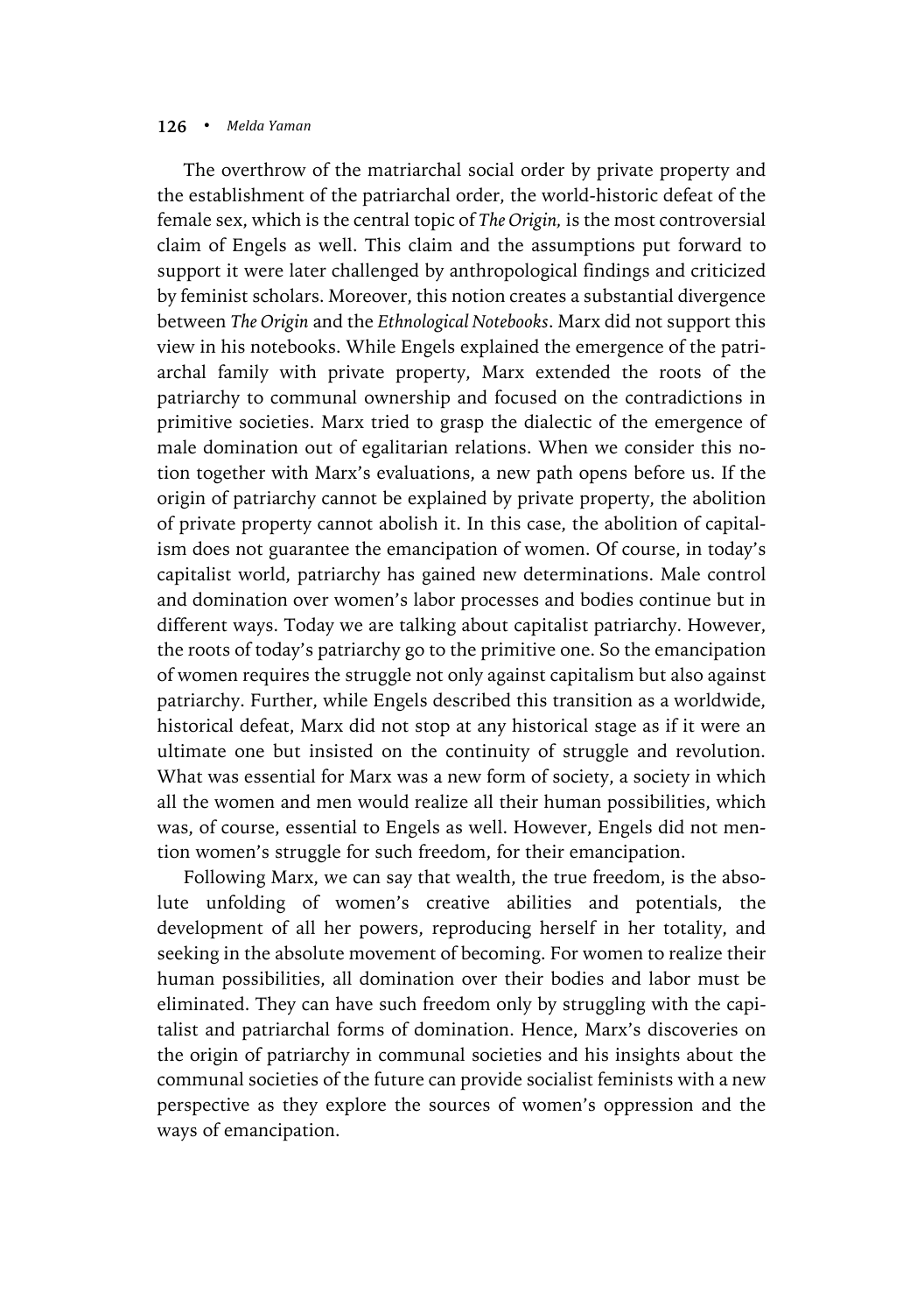The overthrow of the matriarchal social order by private property and the establishment of the patriarchal order, the world-historic defeat of the female sex, which is the central topic of *The Origin,* is the most controversial claim of Engels as well. This claim and the assumptions put forward to support it were later challenged by anthropological findings and criticized by feminist scholars. Moreover, this notion creates a substantial divergence between *The Origin* and the *Ethnological Notebooks*. Marx did not support this view in his notebooks. While Engels explained the emergence of the patriarchal family with private property, Marx extended the roots of the patriarchy to communal ownership and focused on the contradictions in primitive societies. Marx tried to grasp the dialectic of the emergence of male domination out of egalitarian relations. When we consider this notion together with Marx's evaluations, a new path opens before us. If the origin of patriarchy cannot be explained by private property, the abolition of private property cannot abolish it. In this case, the abolition of capitalism does not guarantee the emancipation of women. Of course, in today's capitalist world, patriarchy has gained new determinations. Male control and domination over women's labor processes and bodies continue but in different ways. Today we are talking about capitalist patriarchy. However, the roots of today's patriarchy go to the primitive one. So the emancipation of women requires the struggle not only against capitalism but also against patriarchy. Further, while Engels described this transition as a worldwide, historical defeat, Marx did not stop at any historical stage as if it were an ultimate one but insisted on the continuity of struggle and revolution. What was essential for Marx was a new form of society, a society in which all the women and men would realize all their human possibilities, which was, of course, essential to Engels as well. However, Engels did not mention women's struggle for such freedom, for their emancipation.

Following Marx, we can say that wealth, the true freedom, is the absolute unfolding of women's creative abilities and potentials, the development of all her powers, reproducing herself in her totality, and seeking in the absolute movement of becoming. For women to realize their human possibilities, all domination over their bodies and labor must be eliminated. They can have such freedom only by struggling with the capitalist and patriarchal forms of domination. Hence, Marx's discoveries on the origin of patriarchy in communal societies and his insights about the communal societies of the future can provide socialist feminists with a new perspective as they explore the sources of women's oppression and the ways of emancipation.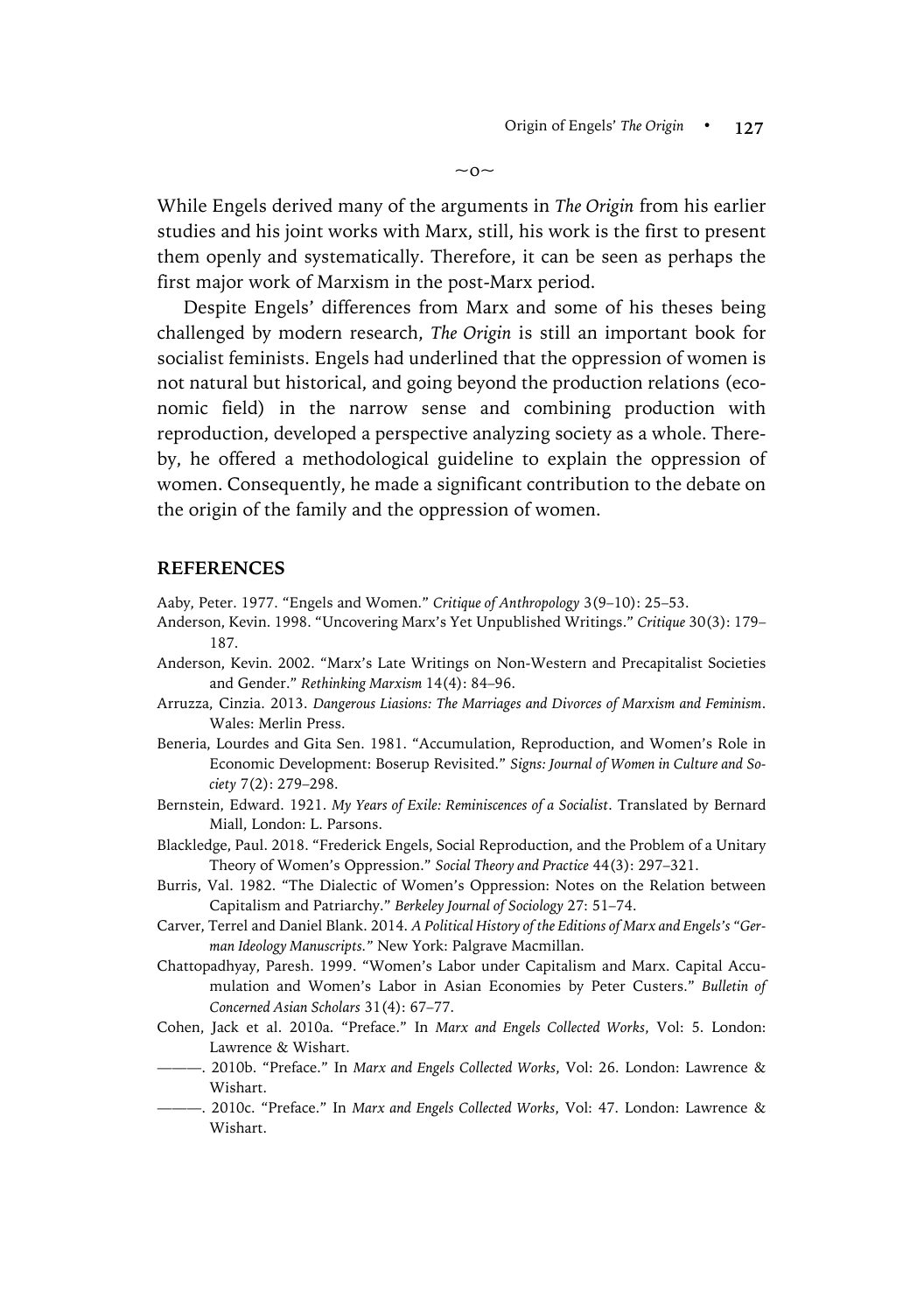$\sim$  0 $\sim$ 

While Engels derived many of the arguments in *The Origin* from his earlier studies and his joint works with Marx, still, his work is the first to present them openly and systematically. Therefore, it can be seen as perhaps the first major work of Marxism in the post-Marx period.

Despite Engels' differences from Marx and some of his theses being challenged by modern research, *The Origin* is still an important book for socialist feminists. Engels had underlined that the oppression of women is not natural but historical, and going beyond the production relations (economic field) in the narrow sense and combining production with reproduction, developed a perspective analyzing society as a whole. Thereby, he offered a methodological guideline to explain the oppression of women. Consequently, he made a significant contribution to the debate on the origin of the family and the oppression of women.

#### **REFERENCES**

- Aaby, Peter. 1977. "Engels and Women." *Critique of Anthropology* 3(9–10): 25–53.
- Anderson, Kevin. 1998. "Uncovering Marx's Yet Unpublished Writings." *Critique* 30(3): 179– 187.
- Anderson, Kevin. 2002. "Marx's Late Writings on Non-Western and Precapitalist Societies and Gender." *Rethinking Marxism* 14(4): 84–96.
- Arruzza, Cinzia. 2013. *Dangerous Liasions: The Marriages and Divorces of Marxism and Feminism*. Wales: Merlin Press.
- Beneria, Lourdes and Gita Sen. 1981. "Accumulation, Reproduction, and Women's Role in Economic Development: Boserup Revisited." *Signs: Journal of Women in Culture and Society* 7(2): 279–298.
- Bernstein, Edward. 1921. *My Years of Exile: Reminiscences of a Socialist*. Translated by Bernard Miall, London: L. Parsons.
- Blackledge, Paul. 2018. "Frederick Engels, Social Reproduction, and the Problem of a Unitary Theory of Women's Oppression." *Social Theory and Practice* 44(3): 297–321.
- Burris, Val. 1982. "The Dialectic of Women's Oppression: Notes on the Relation between Capitalism and Patriarchy." *Berkeley Journal of Sociology* 27: 51–74.
- Carver, Terrel and Daniel Blank. 2014. *A Political History of the Editions of Marx and Engels's "German Ideology Manuscripts."* New York: Palgrave Macmillan.
- Chattopadhyay, Paresh. 1999. "Women's Labor under Capitalism and Marx. Capital Accumulation and Women's Labor in Asian Economies by Peter Custers." *Bulletin of Concerned Asian Scholars* 31(4): 67–77.
- Cohen, Jack et al. 2010a. "Preface." In *Marx and Engels Collected Works*, Vol: 5. London: Lawrence & Wishart.
- ———. 2010b. "Preface." In *Marx and Engels Collected Works*, Vol: 26. London: Lawrence & Wishart.
- ———. 2010c. "Preface." In *Marx and Engels Collected Works*, Vol: 47. London: Lawrence & Wishart.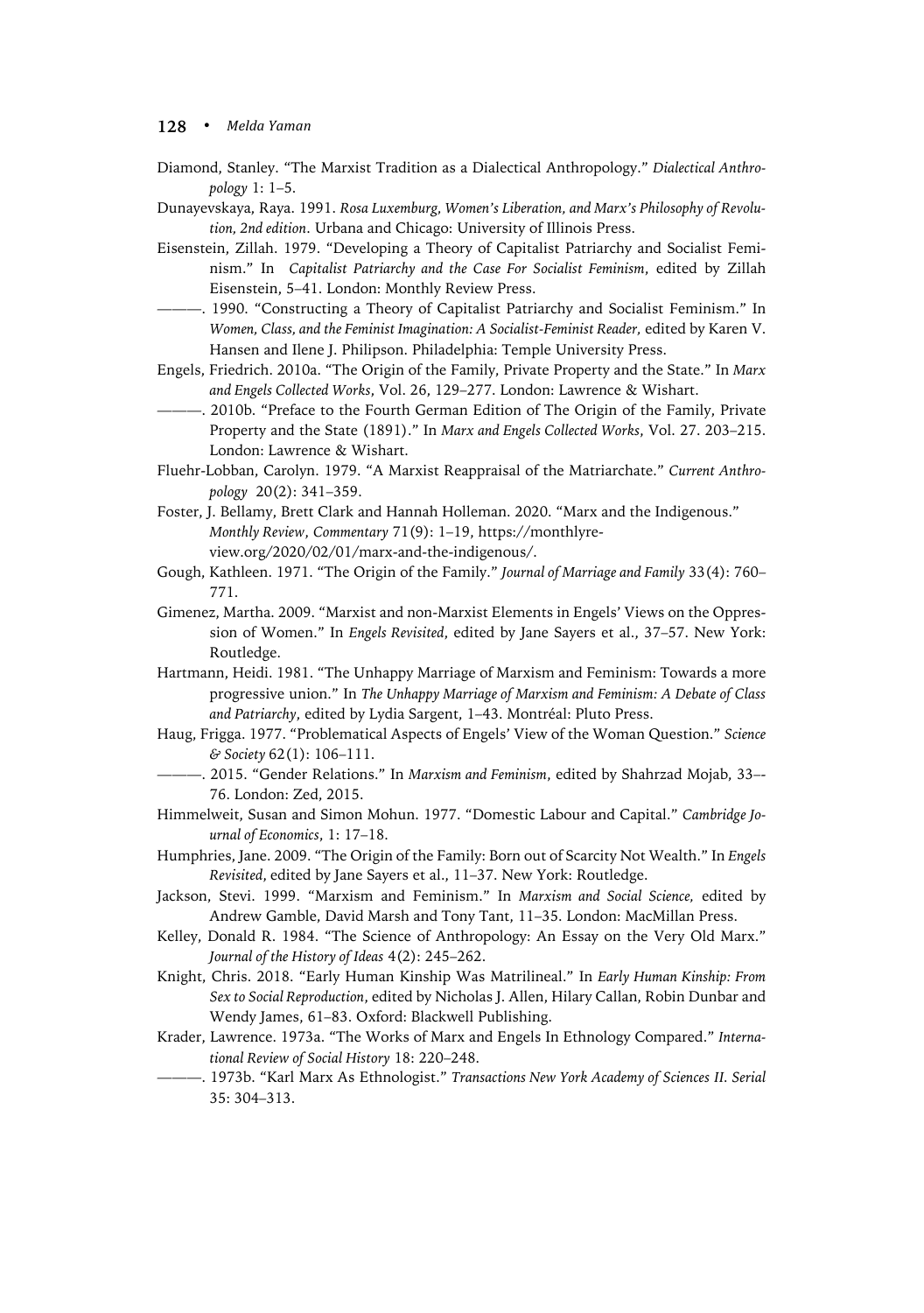- Diamond, Stanley. "The Marxist Tradition as a Dialectical Anthropology." *Dialectical Anthropology* 1: 1–5.
- Dunayevskaya, Raya. 1991. *Rosa Luxemburg, Women's Liberation, and Marx's Philosophy of Revolution, 2nd edition*. Urbana and Chicago: University of Illinois Press.
- Eisenstein, Zillah. 1979. "Developing a Theory of Capitalist Patriarchy and Socialist Feminism." In *Capitalist Patriarchy and the Case For Socialist Feminism*, edited by Zillah Eisenstein, 5–41. London: Monthly Review Press.
- ———. 1990. "Constructing a Theory of Capitalist Patriarchy and Socialist Feminism." In *Women, Class, and the Feminist Imagination: A Socialist-Feminist Reader,* edited by Karen V. Hansen and Ilene J. Philipson. Philadelphia: Temple University Press.
- Engels, Friedrich. 2010a. "The Origin of the Family, Private Property and the State." In *Marx and Engels Collected Works*, Vol. 26, 129–277. London: Lawrence & Wishart.
- ———. 2010b. "Preface to the Fourth German Edition of The Origin of the Family, Private Property and the State (1891)." In *Marx and Engels Collected Works*, Vol. 27. 203–215. London: Lawrence & Wishart.
- Fluehr-Lobban, Carolyn. 1979. "A Marxist Reappraisal of the Matriarchate." *Current Anthropology* 20(2): 341–359.
- Foster, J. Bellamy, Brett Clark and Hannah Holleman. 2020. "Marx and the Indigenous." *Monthly Review*, *Commentary* 71(9): 1–19, https://monthlyreview.org/2020/02/01/marx-and-the-indigenous/.
- Gough, Kathleen. 1971. "The Origin of the Family." *Journal of Marriage and Family* 33(4): 760– 771.
- Gimenez, Martha. 2009. "Marxist and non-Marxist Elements in Engels' Views on the Oppression of Women." In *Engels Revisited*, edited by Jane Sayers et al., 37–57. New York: Routledge.
- Hartmann, Heidi. 1981. "The Unhappy Marriage of Marxism and Feminism: Towards a more progressive union." In *The Unhappy Marriage of Marxism and Feminism: A Debate of Class and Patriarchy*, edited by Lydia Sargent, 1–43. Montréal: Pluto Press.
- Haug, Frigga. 1977. "Problematical Aspects of Engels' View of the Woman Question." *Science & Society* 62(1): 106–111.
- ———. 2015. "Gender Relations." In *Marxism and Feminism*, edited by Shahrzad Mojab, 33–- 76. London: Zed, 2015.
- Himmelweit, Susan and Simon Mohun. 1977. "Domestic Labour and Capital." *Cambridge Journal of Economics*, 1: 17–18.
- Humphries, Jane. 2009. "The Origin of the Family: Born out of Scarcity Not Wealth." In *Engels Revisited*, edited by Jane Sayers et al., 11–37. New York: Routledge.
- Jackson, Stevi. 1999. "Marxism and Feminism." In *Marxism and Social Science,* edited by Andrew Gamble, David Marsh and Tony Tant, 11–35. London: MacMillan Press.
- Kelley, Donald R. 1984. "The Science of Anthropology: An Essay on the Very Old Marx." *Journal of the History of Ideas* 4(2): 245–262.
- Knight, Chris. 2018. "Early Human Kinship Was Matrilineal." In *Early Human Kinship: From Sex to Social Reproduction*, edited by Nicholas J. Allen, Hilary Callan, Robin Dunbar and Wendy James, 61–83. Oxford: Blackwell Publishing.
- Krader, Lawrence. 1973a. "The Works of Marx and Engels In Ethnology Compared." *International Review of Social History* 18: 220–248.
- ———. 1973b. "Karl Marx As Ethnologist." *Transactions New York Academy of Sciences II. Serial* 35: 304–313.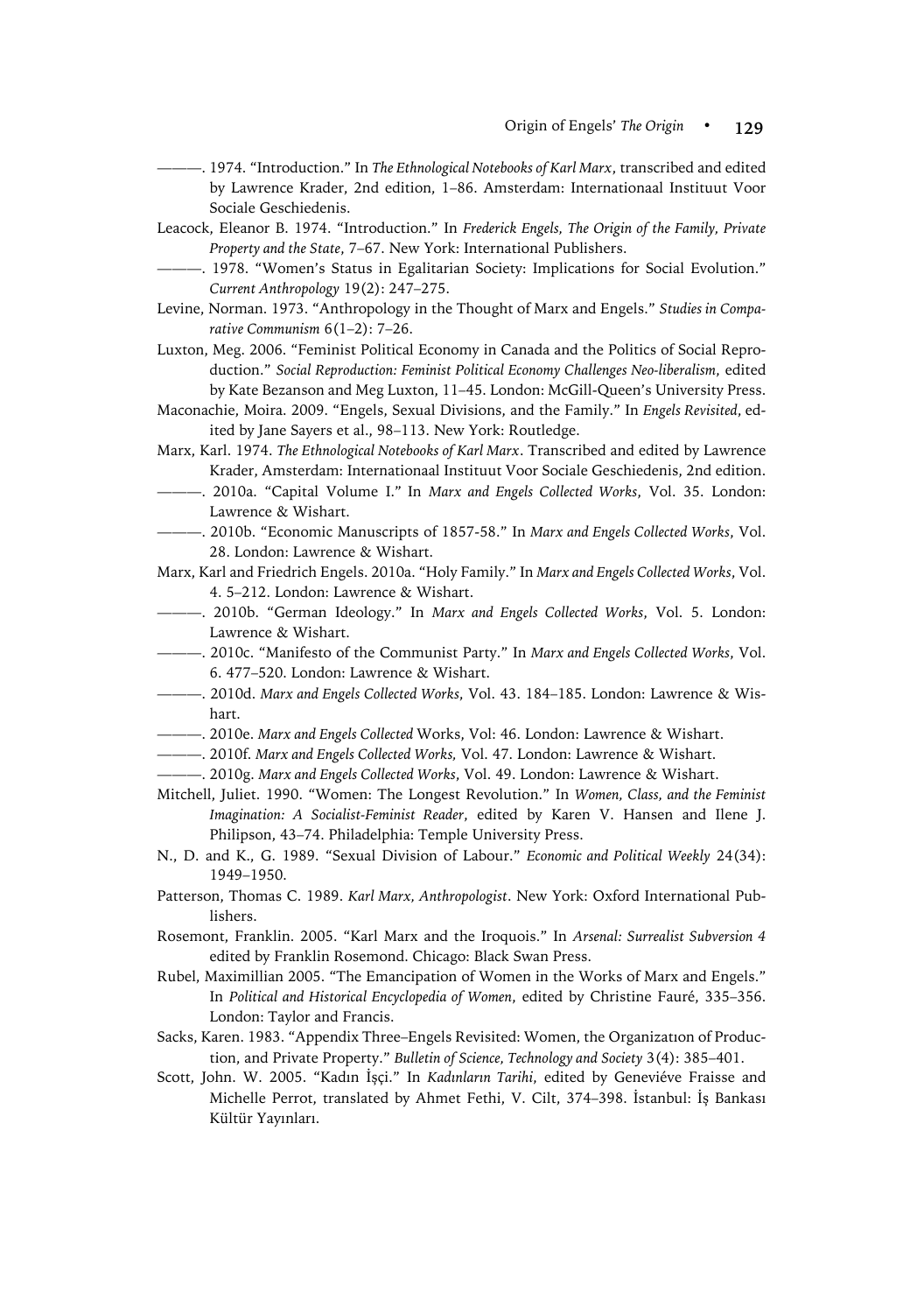- ———. 1974. "Introduction." In *The Ethnological Notebooks of Karl Marx*, transcribed and edited by Lawrence Krader, 2nd edition, 1–86. Amsterdam: Internationaal Instituut Voor Sociale Geschiedenis.
- Leacock, Eleanor B. 1974. "Introduction." In *Frederick Engels, The Origin of the Family, Private Property and the State*, 7–67. New York: International Publishers.
	- ———. 1978. "Women's Status in Egalitarian Society: Implications for Social Evolution." *Current Anthropology* 19(2): 247–275.
- Levine, Norman. 1973. "Anthropology in the Thought of Marx and Engels." *Studies in Comparative Communism* 6(1–2): 7–26.
- Luxton, Meg. 2006. "Feminist Political Economy in Canada and the Politics of Social Reproduction." *Social Reproduction: Feminist Political Economy Challenges Neo-liberalism*, edited by Kate Bezanson and Meg Luxton, 11–45. London: McGill-Queen's University Press.
- Maconachie, Moira. 2009. "Engels, Sexual Divisions, and the Family." In *Engels Revisited*, edited by Jane Sayers et al., 98–113. New York: Routledge.
- Marx, Karl. 1974. *The Ethnological Notebooks of Karl Marx*. Transcribed and edited by Lawrence Krader, Amsterdam: Internationaal Instituut Voor Sociale Geschiedenis, 2nd edition.
- ———. 2010a. "Capital Volume I." In *Marx and Engels Collected Works*, Vol. 35. London: Lawrence & Wishart.
- ———. 2010b. "Economic Manuscripts of 1857-58." In *Marx and Engels Collected Works*, Vol. 28. London: Lawrence & Wishart.
- Marx, Karl and Friedrich Engels. 2010a. "Holy Family." In *Marx and Engels Collected Works*, Vol. 4. 5–212. London: Lawrence & Wishart.
- ———. 2010b. "German Ideology." In *Marx and Engels Collected Works*, Vol. 5. London: Lawrence & Wishart.
- ———. 2010c. "Manifesto of the Communist Party." In *Marx and Engels Collected Works*, Vol. 6. 477–520. London: Lawrence & Wishart.
- ———. 2010d. *Marx and Engels Collected Works*, Vol. 43. 184–185. London: Lawrence & Wishart.
- ———. 2010e. *Marx and Engels Collected* Works, Vol: 46. London: Lawrence & Wishart.
- ———. 2010f. *Marx and Engels Collected Works,* Vol. 47. London: Lawrence & Wishart.
- ———. 2010g. *Marx and Engels Collected Works*, Vol. 49. London: Lawrence & Wishart.
- Mitchell, Juliet. 1990. "Women: The Longest Revolution." In *Women, Class, and the Feminist Imagination: A Socialist-Feminist Reader*, edited by Karen V. Hansen and Ilene J. Philipson, 43–74. Philadelphia: Temple University Press.
- N., D. and K., G. 1989. "Sexual Division of Labour." *Economic and Political Weekly* 24(34): 1949–1950.
- Patterson, Thomas C. 1989. *Karl Marx, Anthropologist*. New York: Oxford International Publishers.
- Rosemont, Franklin. 2005. "Karl Marx and the Iroquois." In *Arsenal: Surrealist Subversion 4* edited by Franklin Rosemond. Chicago: Black Swan Press.
- Rubel, Maximillian 2005. "The Emancipation of Women in the Works of Marx and Engels." In *Political and Historical Encyclopedia of Women*, edited by Christine Fauré, 335–356. London: Taylor and Francis.
- Sacks, Karen. 1983. "Appendix Three–Engels Revisited: Women, the Organizatıon of Production, and Private Property." *Bulletin of Science, Technology and Society* 3(4): 385–401.
- Scott, John. W. 2005. "Kadın İşçi." In *Kadınların Tarihi*, edited by Geneviéve Fraisse and Michelle Perrot, translated by Ahmet Fethi, V. Cilt, 374–398. İstanbul: İş Bankası Kültür Yayınları.